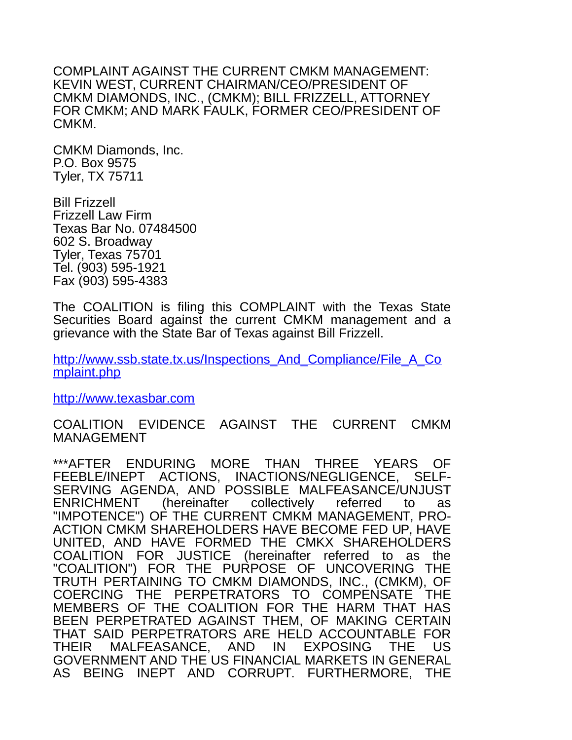COMPLAINT AGAINST THE CURRENT CMKM MANAGEMENT: KEVIN WEST, CURRENT CHAIRMAN/CEO/PRESIDENT OF CMKM DIAMONDS, INC., (CMKM); BILL FRIZZELL, ATTORNEY FOR CMKM; AND MARK FAULK, FORMER CEO/PRESIDENT OF CMKM.

CMKM Diamonds, Inc. P.O. Box 9575 Tyler, TX 75711

Bill Frizzell Frizzell Law Firm Texas Bar No. 07484500 602 S. Broadway Tyler, Texas 75701 Tel. (903) 595-1921 Fax (903) 595-4383

The COALITION is filing this COMPLAINT with the Texas State Securities Board against the current CMKM management and a grievance with the State Bar of Texas against Bill Frizzell.

[http://www.ssb.state.tx.us/Inspections\\_And\\_Compliance/File\\_A\\_Co](http://www.ssb.state.tx.us/Inspections_And_Compliance/File_A_Complaint.php) [mplaint.php](http://www.ssb.state.tx.us/Inspections_And_Compliance/File_A_Complaint.php)

[http://www.texasbar.com](http://texasbar.com/)

COALITION EVIDENCE AGAINST THE CURRENT CMKM MANAGEMENT

\*\*\*AFTER ENDURING MORE THAN THREE YEARS OF FEEBLE/INEPT ACTIONS, INACTIONS/NEGLIGENCE, SELF-SERVING AGENDA, AND POSSIBLE MALFEASANCE/UNJUST ENRICHMENT (hereinafter collectively referred to as "IMPOTENCE") OF THE CURRENT CMKM MANAGEMENT, PRO-ACTION CMKM SHAREHOLDERS HAVE BECOME FED UP, HAVE UNITED, AND HAVE FORMED THE CMKX SHAREHOLDERS COALITION FOR JUSTICE (hereinafter referred to as the "COALITION") FOR THE PURPOSE OF UNCOVERING THE TRUTH PERTAINING TO CMKM DIAMONDS, INC., (CMKM), OF COERCING THE PERPETRATORS TO COMPENSATE THE MEMBERS OF THE COALITION FOR THE HARM THAT HAS BEEN PERPETRATED AGAINST THEM, OF MAKING CERTAIN THAT SAID PERPETRATORS ARE HELD ACCOUNTABLE FOR THEIR MALFEASANCE, AND IN EXPOSING THE US GOVERNMENT AND THE US FINANCIAL MARKETS IN GENERAL AS BEING INEPT AND CORRUPT. FURTHERMORE, THE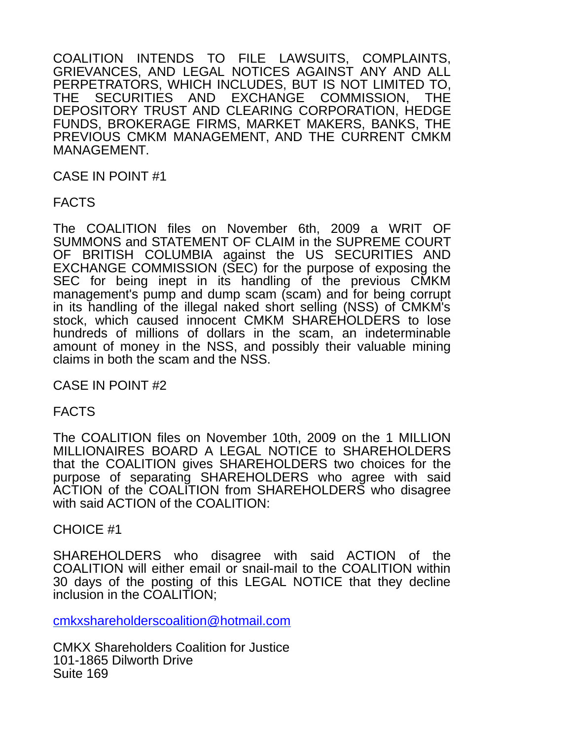COALITION INTENDS TO FILE LAWSUITS, COMPLAINTS, GRIEVANCES, AND LEGAL NOTICES AGAINST ANY AND ALL PERPETRATORS, WHICH INCLUDES, BUT IS NOT LIMITED TO, THE SECURITIES AND EXCHANGE COMMISSION, THE DEPOSITORY TRUST AND CLEARING CORPORATION, HEDGE FUNDS, BROKERAGE FIRMS, MARKET MAKERS, BANKS, THE PREVIOUS CMKM MANAGEMENT, AND THE CURRENT CMKM MANAGEMENT.

CASE IN POINT #1

FACTS

The COALITION files on November 6th, 2009 a WRIT OF SUMMONS and STATEMENT OF CLAIM in the SUPREME COURT OF BRITISH COLUMBIA against the US SECURITIES AND EXCHANGE COMMISSION (SEC) for the purpose of exposing the SEC for being inept in its handling of the previous CMKM management's pump and dump scam (scam) and for being corrupt in its handling of the illegal naked short selling (NSS) of CMKM's stock, which caused innocent CMKM SHAREHOLDERS to lose hundreds of millions of dollars in the scam, an indeterminable amount of money in the NSS, and possibly their valuable mining claims in both the scam and the NSS.

CASE IN POINT #2

FACTS

The COALITION files on November 10th, 2009 on the 1 MILLION MILLIONAIRES BOARD A LEGAL NOTICE to SHAREHOLDERS that the COALITION gives SHAREHOLDERS two choices for the purpose of separating SHAREHOLDERS who agree with said ACTION of the COALITION from SHAREHOLDERS who disagree with said ACTION of the COALITION:

CHOICE #1

SHAREHOLDERS who disagree with said ACTION of the COALITION will either email or snail-mail to the COALITION within 30 days of the posting of this LEGAL NOTICE that they decline inclusion in the COALITION;

[cmkxshareholderscoalition@hotmail.com](mailto:cmkxshareholderscoalition@hotmail.com)

CMKX Shareholders Coalition for Justice 101-1865 Dilworth Drive Suite 169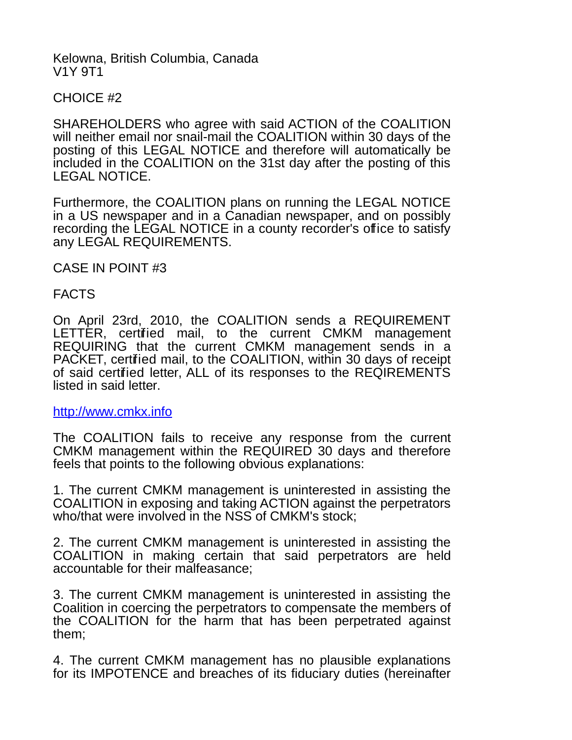#### Kelowna, British Columbia, Canada V1Y 9T1

CHOICE #2

SHAREHOLDERS who agree with said ACTION of the COALITION will neither email nor snail-mail the COALITION within 30 days of the posting of this LEGAL NOTICE and therefore will automatically be included in the COALITION on the 31st day after the posting of this LEGAL NOTICE.

Furthermore, the COALITION plans on running the LEGAL NOTICE in a US newspaper and in a Canadian newspaper, and on possibly recording the LEGAL NOTICE in a county recorder's office to satisfy any LEGAL REQUIREMENTS.

CASE IN POINT #3

FACTS

On April 23rd, 2010, the COALITION sends a REQUIREMENT LETTER, certified mail, to the current CMKM management REQUIRING that the current CMKM management sends in a PACKET, certified mail, to the COALITION, within 30 days of receipt of said certified letter, ALL of its responses to the REQIREMENTS listed in said letter.

[http://www.cmkx.info](http://cmkx.info/)

The COALITION fails to receive any response from the current CMKM management within the REQUIRED 30 days and therefore feels that points to the following obvious explanations:

1. The current CMKM management is uninterested in assisting the COALITION in exposing and taking ACTION against the perpetrators who/that were involved in the NSS of CMKM's stock;

2. The current CMKM management is uninterested in assisting the COALITION in making certain that said perpetrators are held accountable for their malfeasance;

3. The current CMKM management is uninterested in assisting the Coalition in coercing the perpetrators to compensate the members of the COALITION for the harm that has been perpetrated against them;

4. The current CMKM management has no plausible explanations for its IMPOTENCE and breaches of its fiduciary duties (hereinafter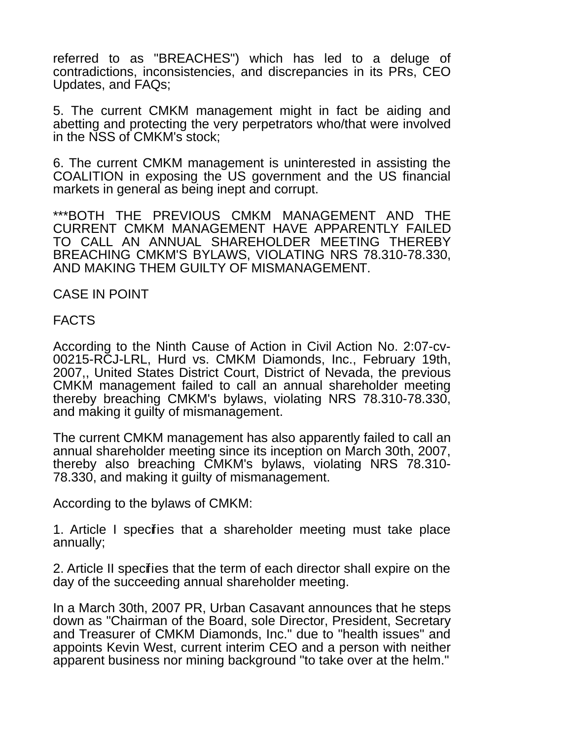referred to as "BREACHES") which has led to a deluge of contradictions, inconsistencies, and discrepancies in its PRs, CEO Updates, and FAQs;

5. The current CMKM management might in fact be aiding and abetting and protecting the very perpetrators who/that were involved in the NSS of CMKM's stock;

6. The current CMKM management is uninterested in assisting the COALITION in exposing the US government and the US financial markets in general as being inept and corrupt.

\*\*\*BOTH THE PREVIOUS CMKM MANAGEMENT AND THE CURRENT CMKM MANAGEMENT HAVE APPARENTLY FAILED TO CALL AN ANNUAL SHAREHOLDER MEETING THEREBY BREACHING CMKM'S BYLAWS, VIOLATING NRS 78.310-78.330, AND MAKING THEM GUILTY OF MISMANAGEMENT.

CASE IN POINT

FACTS

According to the Ninth Cause of Action in Civil Action No. 2:07-cv-00215-RCJ-LRL, Hurd vs. CMKM Diamonds, Inc., February 19th, 2007,, United States District Court, District of Nevada, the previous CMKM management failed to call an annual shareholder meeting thereby breaching CMKM's bylaws, violating NRS 78.310-78.330, and making it guilty of mismanagement.

The current CMKM management has also apparently failed to call an annual shareholder meeting since its inception on March 30th, 2007, thereby also breaching CMKM's bylaws, violating NRS 78.310- 78.330, and making it guilty of mismanagement.

According to the bylaws of CMKM:

1. Article I specifies that a shareholder meeting must take place annually;

2. Article II specifies that the term of each director shall expire on the day of the succeeding annual shareholder meeting.

In a March 30th, 2007 PR, Urban Casavant announces that he steps down as "Chairman of the Board, sole Director, President, Secretary and Treasurer of CMKM Diamonds, Inc." due to "health issues" and appoints Kevin West, current interim CEO and a person with neither apparent business nor mining background "to take over at the helm."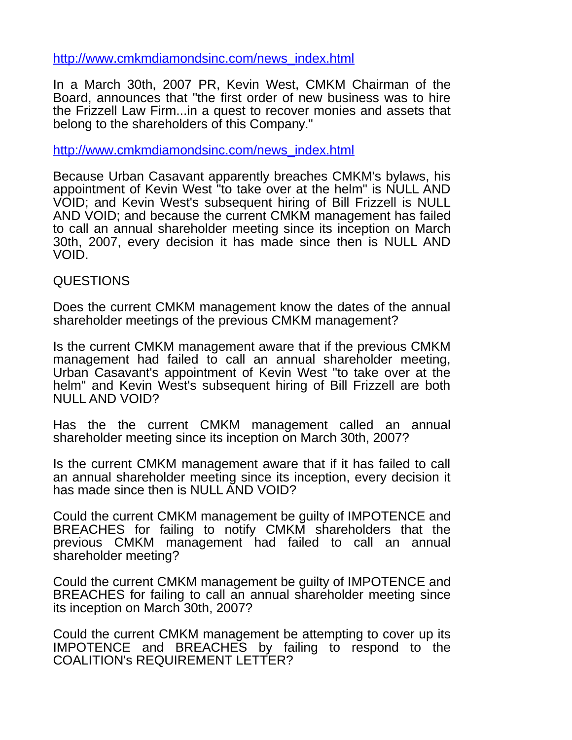[http://www.cmkmdiamondsinc.com/news\\_index.html](http://www.cmkmdiamondsinc.com/news_index.html)

In a March 30th, 2007 PR, Kevin West, CMKM Chairman of the Board, announces that "the first order of new business was to hire the Frizzell Law Firm...in a quest to recover monies and assets that belong to the shareholders of this Company."

[http://www.cmkmdiamondsinc.com/news\\_index.html](http://www.cmkmdiamondsinc.com/news_index.html)

Because Urban Casavant apparently breaches CMKM's bylaws, his appointment of Kevin West "to take over at the helm" is NULL AND VOID; and Kevin West's subsequent hiring of Bill Frizzell is NULL AND VOID; and because the current CMKM management has failed to call an annual shareholder meeting since its inception on March 30th, 2007, every decision it has made since then is NULL AND VOID.

# QUESTIONS

Does the current CMKM management know the dates of the annual shareholder meetings of the previous CMKM management?

Is the current CMKM management aware that if the previous CMKM management had failed to call an annual shareholder meeting, Urban Casavant's appointment of Kevin West "to take over at the helm" and Kevin West's subsequent hiring of Bill Frizzell are both NULL AND VOID?

Has the the current CMKM management called an annual shareholder meeting since its inception on March 30th, 2007?

Is the current CMKM management aware that if it has failed to call an annual shareholder meeting since its inception, every decision it has made since then is NULL AND VOID?

Could the current CMKM management be guilty of IMPOTENCE and BREACHES for failing to notify CMKM shareholders that the previous CMKM management had failed to call an annual shareholder meeting?

Could the current CMKM management be guilty of IMPOTENCE and BREACHES for failing to call an annual shareholder meeting since its inception on March 30th, 2007?

Could the current CMKM management be attempting to cover up its IMPOTENCE and BREACHES by failing to respond to the COALITION's REQUIREMENT LETTER?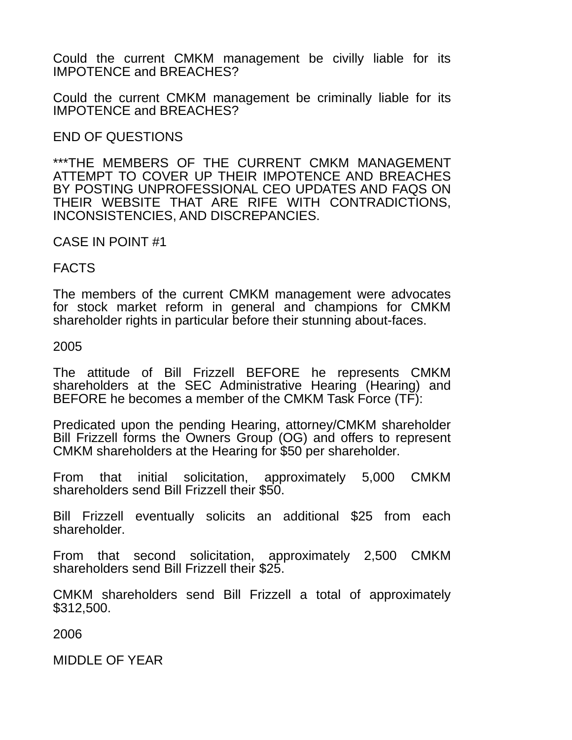Could the current CMKM management be civilly liable for its IMPOTENCE and BREACHES?

Could the current CMKM management be criminally liable for its IMPOTENCE and BREACHES?

# END OF QUESTIONS

\*\*\*THE MEMBERS OF THE CURRENT CMKM MANAGEMENT ATTEMPT TO COVER UP THEIR IMPOTENCE AND BREACHES BY POSTING UNPROFESSIONAL CEO UPDATES AND FAQS ON THEIR WEBSITE THAT ARE RIFE WITH CONTRADICTIONS, INCONSISTENCIES, AND DISCREPANCIES.

#### CASE IN POINT #1

# FACTS

The members of the current CMKM management were advocates for stock market reform in general and champions for CMKM shareholder rights in particular before their stunning about-faces.

### 2005

The attitude of Bill Frizzell BEFORE he represents CMKM shareholders at the SEC Administrative Hearing (Hearing) and BEFORE he becomes a member of the CMKM Task Force (TF):

Predicated upon the pending Hearing, attorney/CMKM shareholder Bill Frizzell forms the Owners Group (OG) and offers to represent CMKM shareholders at the Hearing for \$50 per shareholder.

From that initial solicitation, approximately 5,000 CMKM shareholders send Bill Frizzell their \$50.

Bill Frizzell eventually solicits an additional \$25 from each shareholder.

From that second solicitation, approximately 2,500 CMKM shareholders send Bill Frizzell their \$25.

CMKM shareholders send Bill Frizzell a total of approximately \$312,500.

2006

MIDDLE OF YEAR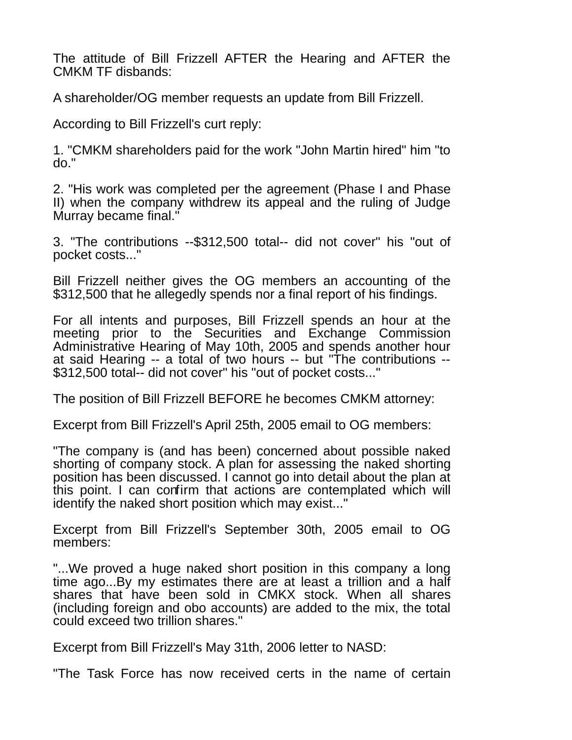The attitude of Bill Frizzell AFTER the Hearing and AFTER the CMKM TF disbands:

A shareholder/OG member requests an update from Bill Frizzell.

According to Bill Frizzell's curt reply:

1. "CMKM shareholders paid for the work "John Martin hired" him "to do."

2. "His work was completed per the agreement (Phase I and Phase II) when the company withdrew its appeal and the ruling of Judge Murray became final."

3. "The contributions --\$312,500 total-- did not cover" his "out of pocket costs..."

Bill Frizzell neither gives the OG members an accounting of the \$312,500 that he allegedly spends nor a final report of his findings.

For all intents and purposes, Bill Frizzell spends an hour at the meeting prior to the Securities and Exchange Commission Administrative Hearing of May 10th, 2005 and spends another hour at said Hearing -- a total of two hours -- but "The contributions -- \$312,500 total-- did not cover" his "out of pocket costs..."

The position of Bill Frizzell BEFORE he becomes CMKM attorney:

Excerpt from Bill Frizzell's April 25th, 2005 email to OG members:

"The company is (and has been) concerned about possible naked shorting of company stock. A plan for assessing the naked shorting position has been discussed. I cannot go into detail about the plan at this point. I can confirm that actions are contemplated which will identify the naked short position which may exist..."

Excerpt from Bill Frizzell's September 30th, 2005 email to OG members:

"...We proved a huge naked short position in this company a long time ago...By my estimates there are at least a trillion and a half shares that have been sold in CMKX stock. When all shares (including foreign and obo accounts) are added to the mix, the total could exceed two trillion shares."

Excerpt from Bill Frizzell's May 31th, 2006 letter to NASD:

"The Task Force has now received certs in the name of certain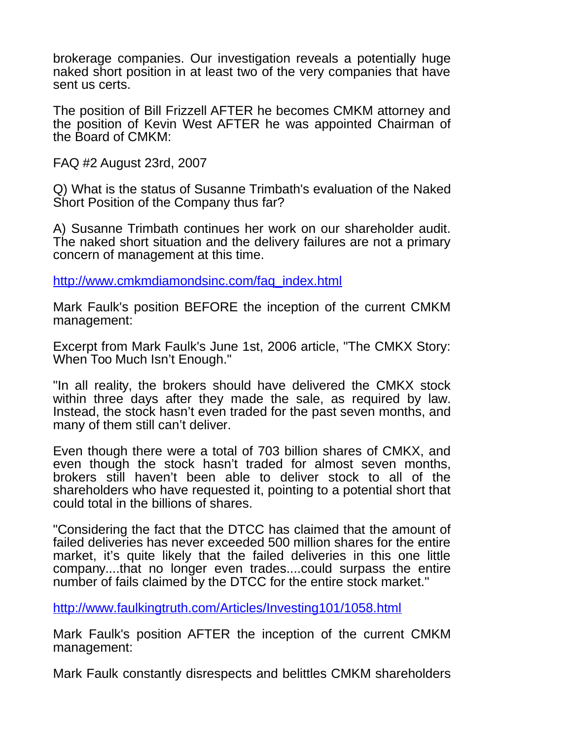brokerage companies. Our investigation reveals a potentially huge naked short position in at least two of the very companies that have sent us certs.

The position of Bill Frizzell AFTER he becomes CMKM attorney and the position of Kevin West AFTER he was appointed Chairman of the Board of CMKM:

FAQ #2 August 23rd, 2007

Q) What is the status of Susanne Trimbath's evaluation of the Naked Short Position of the Company thus far?

A) Susanne Trimbath continues her work on our shareholder audit. The naked short situation and the delivery failures are not a primary concern of management at this time.

[http://www.cmkmdiamondsinc.com/faq\\_index.html](http://www.cmkmdiamondsinc.com/faq_index.html)

Mark Faulk's position BEFORE the inception of the current CMKM management:

Excerpt from Mark Faulk's June 1st, 2006 article, "The CMKX Story: When Too Much Isn't Enough."

"In all reality, the brokers should have delivered the CMKX stock within three days after they made the sale, as required by law. Instead, the stock hasn't even traded for the past seven months, and many of them still can't deliver.

Even though there were a total of 703 billion shares of CMKX, and even though the stock hasn't traded for almost seven months, brokers still haven't been able to deliver stock to all of the shareholders who have requested it, pointing to a potential short that could total in the billions of shares.

"Considering the fact that the DTCC has claimed that the amount of failed deliveries has never exceeded 500 million shares for the entire market, it's quite likely that the failed deliveries in this one little company....that no longer even trades....could surpass the entire number of fails claimed by the DTCC for the entire stock market."

<http://www.faulkingtruth.com/Articles/Investing101/1058.html>

Mark Faulk's position AFTER the inception of the current CMKM management:

Mark Faulk constantly disrespects and belittles CMKM shareholders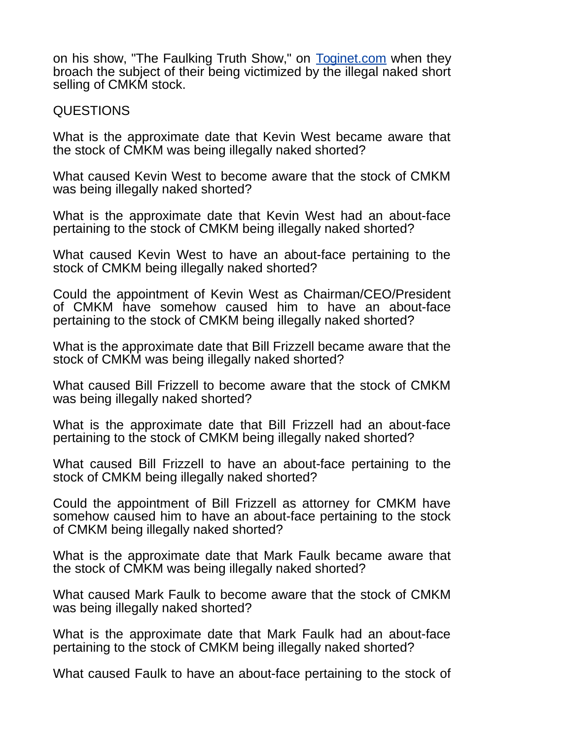on his show, "The Faulking Truth Show," on [Toginet.com](http://Toginet.com/) when they broach the subject of their being victimized by the illegal naked short selling of CMKM stock.

### QUESTIONS

What is the approximate date that Kevin West became aware that the stock of CMKM was being illegally naked shorted?

What caused Kevin West to become aware that the stock of CMKM was being illegally naked shorted?

What is the approximate date that Kevin West had an about-face pertaining to the stock of CMKM being illegally naked shorted?

What caused Kevin West to have an about-face pertaining to the stock of CMKM being illegally naked shorted?

Could the appointment of Kevin West as Chairman/CEO/President of CMKM have somehow caused him to have an about-face pertaining to the stock of CMKM being illegally naked shorted?

What is the approximate date that Bill Frizzell became aware that the stock of CMKM was being illegally naked shorted?

What caused Bill Frizzell to become aware that the stock of CMKM was being illegally naked shorted?

What is the approximate date that Bill Frizzell had an about-face pertaining to the stock of CMKM being illegally naked shorted?

What caused Bill Frizzell to have an about-face pertaining to the stock of CMKM being illegally naked shorted?

Could the appointment of Bill Frizzell as attorney for CMKM have somehow caused him to have an about-face pertaining to the stock of CMKM being illegally naked shorted?

What is the approximate date that Mark Faulk became aware that the stock of CMKM was being illegally naked shorted?

What caused Mark Faulk to become aware that the stock of CMKM was being illegally naked shorted?

What is the approximate date that Mark Faulk had an about-face pertaining to the stock of CMKM being illegally naked shorted?

What caused Faulk to have an about-face pertaining to the stock of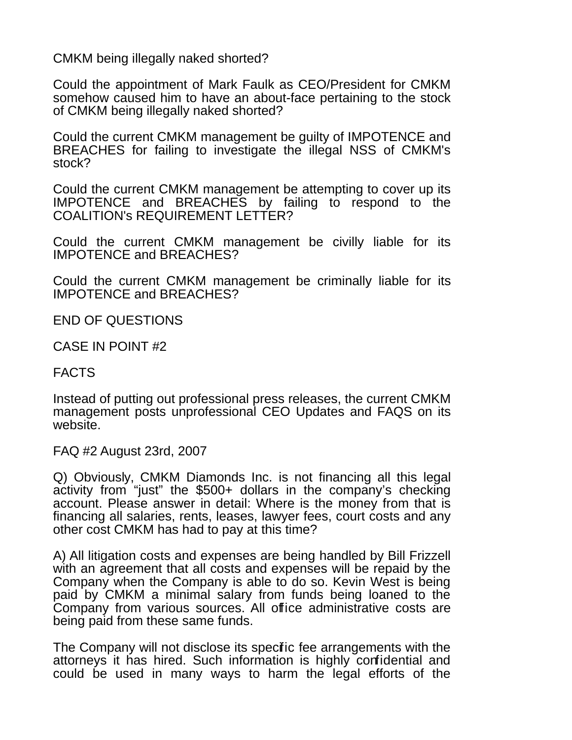CMKM being illegally naked shorted?

Could the appointment of Mark Faulk as CEO/President for CMKM somehow caused him to have an about-face pertaining to the stock of CMKM being illegally naked shorted?

Could the current CMKM management be guilty of IMPOTENCE and BREACHES for failing to investigate the illegal NSS of CMKM's stock?

Could the current CMKM management be attempting to cover up its IMPOTENCE and BREACHES by failing to respond to the COALITION's REQUIREMENT LETTER?

Could the current CMKM management be civilly liable for its IMPOTENCE and BREACHES?

Could the current CMKM management be criminally liable for its IMPOTENCE and BREACHES?

END OF QUESTIONS

CASE IN POINT #2

FACTS

Instead of putting out professional press releases, the current CMKM management posts unprofessional CEO Updates and FAQS on its website.

FAQ #2 August 23rd, 2007

Q) Obviously, CMKM Diamonds Inc. is not financing all this legal activity from "just" the \$500+ dollars in the company's checking account. Please answer in detail: Where is the money from that is financing all salaries, rents, leases, lawyer fees, court costs and any other cost CMKM has had to pay at this time?

A) All litigation costs and expenses are being handled by Bill Frizzell with an agreement that all costs and expenses will be repaid by the Company when the Company is able to do so. Kevin West is being paid by CMKM a minimal salary from funds being loaned to the Company from various sources. All office administrative costs are being paid from these same funds.

The Company will not disclose its specific fee arrangements with the attorneys it has hired. Such information is highly confidential and could be used in many ways to harm the legal efforts of the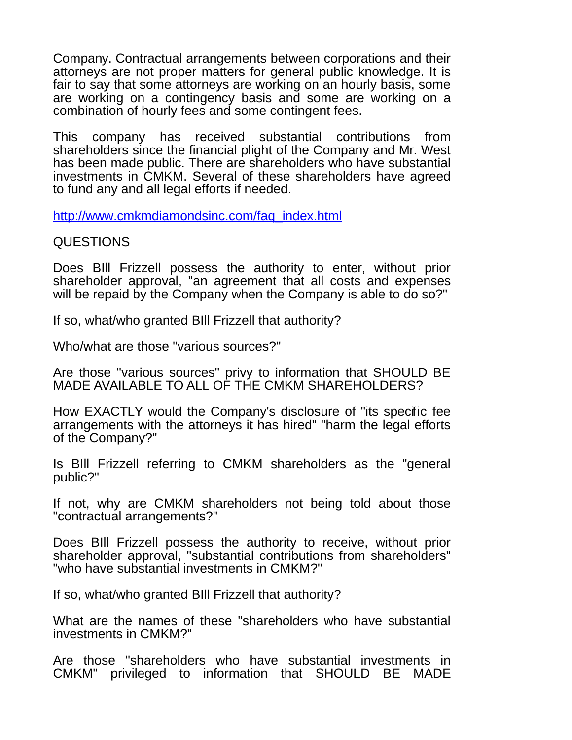Company. Contractual arrangements between corporations and their attorneys are not proper matters for general public knowledge. It is fair to say that some attorneys are working on an hourly basis, some are working on a contingency basis and some are working on a combination of hourly fees and some contingent fees.

This company has received substantial contributions from shareholders since the financial plight of the Company and Mr. West has been made public. There are shareholders who have substantial investments in CMKM. Several of these shareholders have agreed to fund any and all legal efforts if needed.

[http://www.cmkmdiamondsinc.com/faq\\_index.html](http://www.cmkmdiamondsinc.com/faq_index.html)

QUESTIONS

Does BIll Frizzell possess the authority to enter, without prior shareholder approval, "an agreement that all costs and expenses will be repaid by the Company when the Company is able to do so?"

If so, what/who granted BIll Frizzell that authority?

Who/what are those "various sources?"

Are those "various sources" privy to information that SHOULD BE MADE AVAILABLE TO ALL OF THE CMKM SHAREHOLDERS?

How EXACTLY would the Company's disclosure of "its specific fee arrangements with the attorneys it has hired" "harm the legal efforts of the Company?"

Is BIll Frizzell referring to CMKM shareholders as the "general public?"

If not, why are CMKM shareholders not being told about those "contractual arrangements?"

Does BIll Frizzell possess the authority to receive, without prior shareholder approval, "substantial contributions from shareholders" "who have substantial investments in CMKM?"

If so, what/who granted BIll Frizzell that authority?

What are the names of these "shareholders who have substantial investments in CMKM?"

Are those "shareholders who have substantial investments in CMKM" privileged to information that SHOULD BE MADE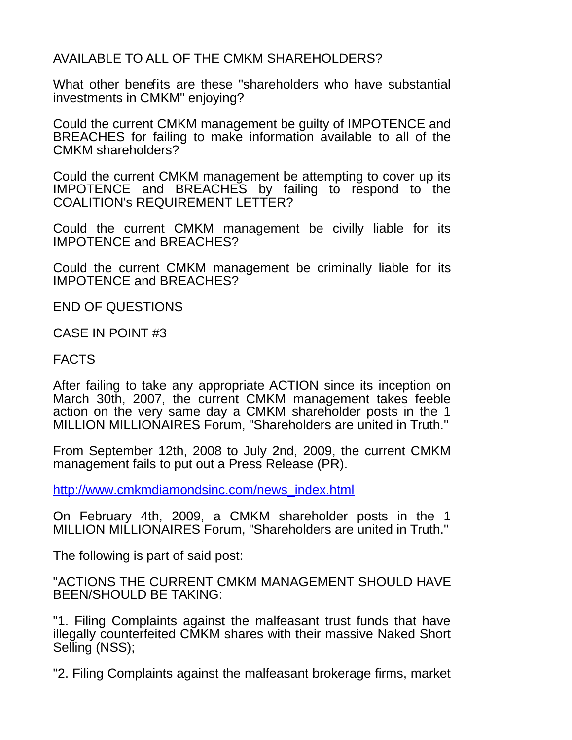AVAILABLE TO ALL OF THE CMKM SHAREHOLDERS?

What other benefits are these "shareholders who have substantial investments in CMKM" enjoying?

Could the current CMKM management be guilty of IMPOTENCE and BREACHES for failing to make information available to all of the CMKM shareholders?

Could the current CMKM management be attempting to cover up its IMPOTENCE and BREACHES by failing to respond to the COALITION's REQUIREMENT LETTER?

Could the current CMKM management be civilly liable for its IMPOTENCE and BREACHES?

Could the current CMKM management be criminally liable for its IMPOTENCE and BREACHES?

END OF QUESTIONS

CASE IN POINT #3

FACTS

After failing to take any appropriate ACTION since its inception on March 30th, 2007, the current CMKM management takes feeble action on the very same day a CMKM shareholder posts in the 1 MILLION MILLIONAIRES Forum, "Shareholders are united in Truth."

From September 12th, 2008 to July 2nd, 2009, the current CMKM management fails to put out a Press Release (PR).

[http://www.cmkmdiamondsinc.com/news\\_index.html](http://www.cmkmdiamondsinc.com/news_index.html)

On February 4th, 2009, a CMKM shareholder posts in the 1 MILLION MILLIONAIRES Forum, "Shareholders are united in Truth."

The following is part of said post:

"ACTIONS THE CURRENT CMKM MANAGEMENT SHOULD HAVE BEEN/SHOULD BE TAKING:

"1. Filing Complaints against the malfeasant trust funds that have illegally counterfeited CMKM shares with their massive Naked Short Selling (NSS);

"2. Filing Complaints against the malfeasant brokerage firms, market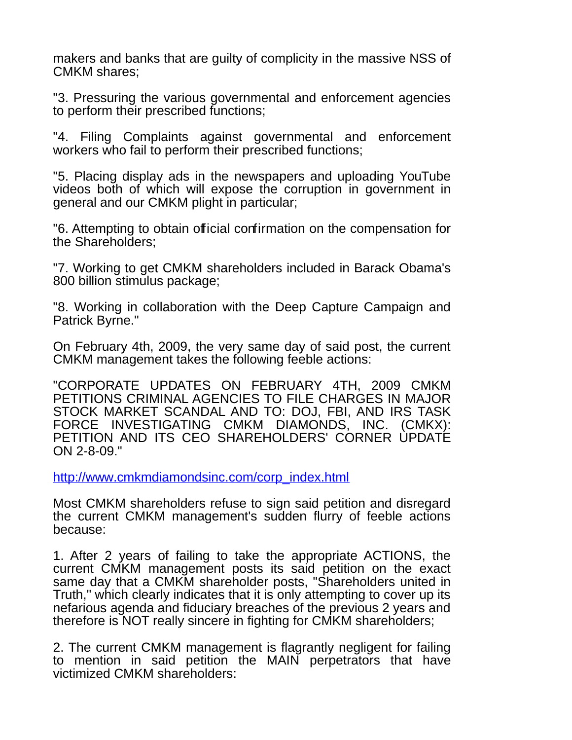makers and banks that are guilty of complicity in the massive NSS of CMKM shares;

"3. Pressuring the various governmental and enforcement agencies to perform their prescribed functions;

"4. Filing Complaints against governmental and enforcement workers who fail to perform their prescribed functions;

"5. Placing display ads in the newspapers and uploading YouTube videos both of which will expose the corruption in government in general and our CMKM plight in particular;

"6. Attempting to obtain official confirmation on the compensation for the Shareholders;

"7. Working to get CMKM shareholders included in Barack Obama's 800 billion stimulus package;

"8. Working in collaboration with the Deep Capture Campaign and Patrick Byrne."

On February 4th, 2009, the very same day of said post, the current CMKM management takes the following feeble actions:

"CORPORATE UPDATES ON FEBRUARY 4TH, 2009 CMKM PETITIONS CRIMINAL AGENCIES TO FILE CHARGES IN MAJOR STOCK MARKET SCANDAL AND TO: DOJ, FBI, AND IRS TASK FORCE INVESTIGATING CMKM DIAMONDS, INC. (CMKX): PETITION AND ITS CEO SHAREHOLDERS' CORNER UPDATE ON 2-8-09."

[http://www.cmkmdiamondsinc.com/corp\\_index.html](http://www.cmkmdiamondsinc.com/corp_index.html)

Most CMKM shareholders refuse to sign said petition and disregard the current CMKM management's sudden flurry of feeble actions because:

1. After 2 years of failing to take the appropriate ACTIONS, the current CMKM management posts its said petition on the exact same day that a CMKM shareholder posts, "Shareholders united in Truth," which clearly indicates that it is only attempting to cover up its nefarious agenda and fiduciary breaches of the previous 2 years and therefore is NOT really sincere in fighting for CMKM shareholders;

2. The current CMKM management is flagrantly negligent for failing to mention in said petition the MAIN perpetrators that have victimized CMKM shareholders: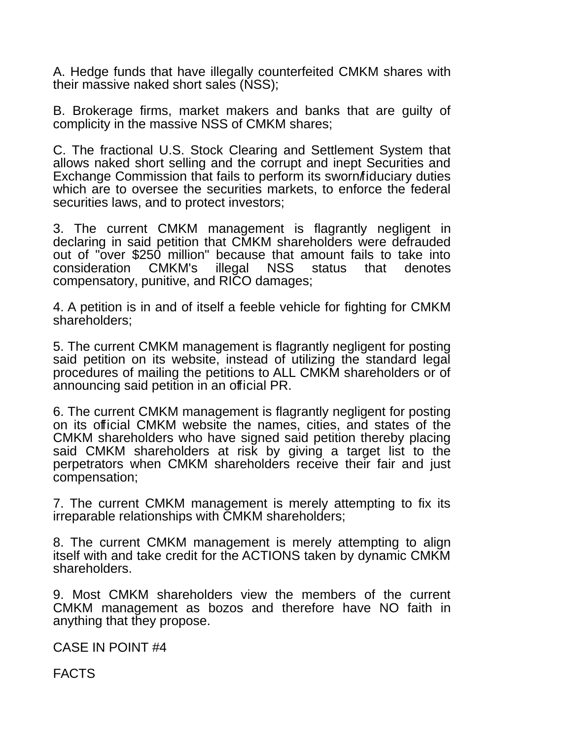A. Hedge funds that have illegally counterfeited CMKM shares with their massive naked short sales (NSS);

B. Brokerage firms, market makers and banks that are guilty of complicity in the massive NSS of CMKM shares;

C. The fractional U.S. Stock Clearing and Settlement System that allows naked short selling and the corrupt and inept Securities and Exchange Commission that fails to perform its sworn/fiduciary duties which are to oversee the securities markets, to enforce the federal securities laws, and to protect investors;

3. The current CMKM management is flagrantly negligent in declaring in said petition that CMKM shareholders were defrauded out of "over \$250 million" because that amount fails to take into consideration CMKM's illegal NSS status that denotes compensatory, punitive, and RICO damages;

4. A petition is in and of itself a feeble vehicle for fighting for CMKM shareholders;

5. The current CMKM management is flagrantly negligent for posting said petition on its website, instead of utilizing the standard legal procedures of mailing the petitions to ALL CMKM shareholders or of announcing said petition in an official PR.

6. The current CMKM management is flagrantly negligent for posting on its official CMKM website the names, cities, and states of the CMKM shareholders who have signed said petition thereby placing said CMKM shareholders at risk by giving a target list to the perpetrators when CMKM shareholders receive their fair and just compensation;

7. The current CMKM management is merely attempting to fix its irreparable relationships with CMKM shareholders;

8. The current CMKM management is merely attempting to align itself with and take credit for the ACTIONS taken by dynamic CMKM shareholders.

9. Most CMKM shareholders view the members of the current CMKM management as bozos and therefore have NO faith in anything that they propose.

CASE IN POINT #4

FACTS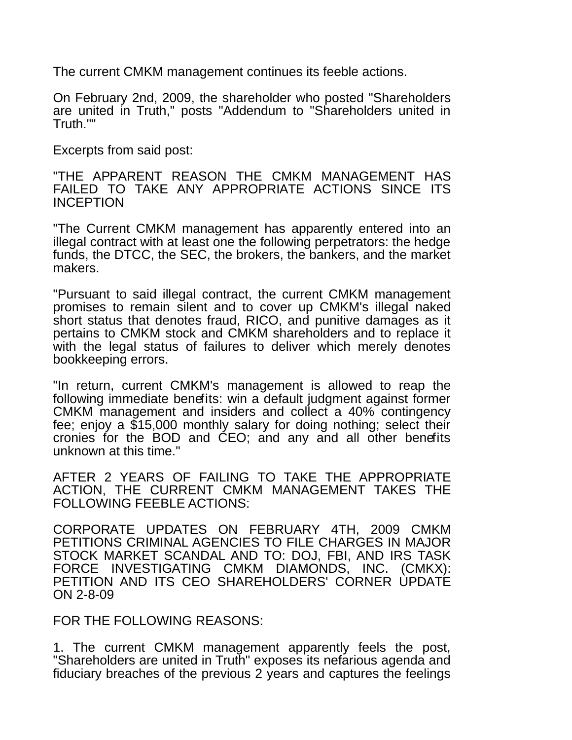The current CMKM management continues its feeble actions.

On February 2nd, 2009, the shareholder who posted "Shareholders are united in Truth," posts "Addendum to "Shareholders united in Truth.""

Excerpts from said post:

"THE APPARENT REASON THE CMKM MANAGEMENT HAS FAILED TO TAKE ANY APPROPRIATE ACTIONS SINCE ITS INCEPTION

"The Current CMKM management has apparently entered into an illegal contract with at least one the following perpetrators: the hedge funds, the DTCC, the SEC, the brokers, the bankers, and the market makers.

"Pursuant to said illegal contract, the current CMKM management promises to remain silent and to cover up CMKM's illegal naked short status that denotes fraud, RICO, and punitive damages as it pertains to CMKM stock and CMKM shareholders and to replace it with the legal status of failures to deliver which merely denotes bookkeeping errors.

"In return, current CMKM's management is allowed to reap the following immediate benefits: win a default judgment against former CMKM management and insiders and collect a 40% contingency fee; enjoy a \$15,000 monthly salary for doing nothing; select their cronies for the BOD and CEO; and any and all other benefits unknown at this time."

AFTER 2 YEARS OF FAILING TO TAKE THE APPROPRIATE ACTION, THE CURRENT CMKM MANAGEMENT TAKES THE FOLLOWING FEEBLE ACTIONS:

CORPORATE UPDATES ON FEBRUARY 4TH, 2009 CMKM PETITIONS CRIMINAL AGENCIES TO FILE CHARGES IN MAJOR STOCK MARKET SCANDAL AND TO: DOJ, FBI, AND IRS TASK FORCE INVESTIGATING CMKM DIAMONDS, INC. (CMKX): PETITION AND ITS CEO SHAREHOLDERS' CORNER UPDATE ON 2-8-09

FOR THE FOLLOWING REASONS:

1. The current CMKM management apparently feels the post, "Shareholders are united in Truth" exposes its nefarious agenda and fiduciary breaches of the previous 2 years and captures the feelings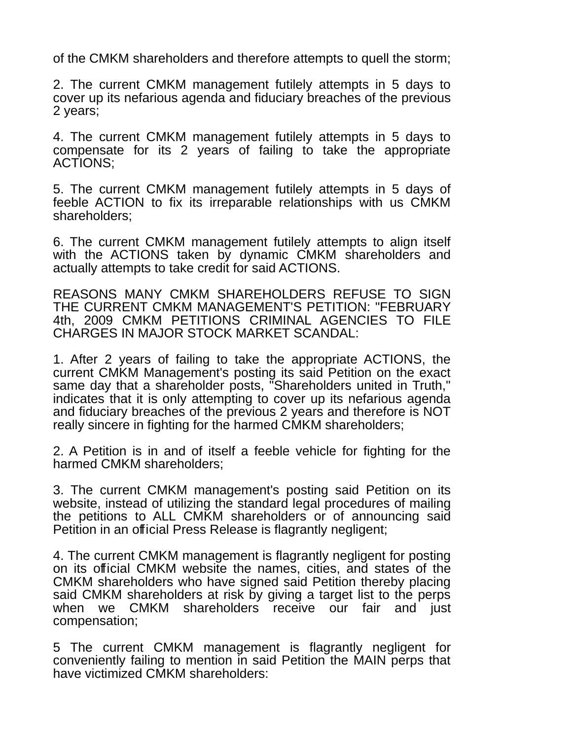of the CMKM shareholders and therefore attempts to quell the storm;

2. The current CMKM management futilely attempts in 5 days to cover up its nefarious agenda and fiduciary breaches of the previous 2 years;

4. The current CMKM management futilely attempts in 5 days to compensate for its 2 years of failing to take the appropriate ACTIONS;

5. The current CMKM management futilely attempts in 5 days of feeble ACTION to fix its irreparable relationships with us CMKM shareholders;

6. The current CMKM management futilely attempts to align itself with the ACTIONS taken by dynamic CMKM shareholders and actually attempts to take credit for said ACTIONS.

REASONS MANY CMKM SHAREHOLDERS REFUSE TO SIGN THE CURRENT CMKM MANAGEMENT'S PETITION: "FEBRUARY 4th, 2009 CMKM PETITIONS CRIMINAL AGENCIES TO FILE CHARGES IN MAJOR STOCK MARKET SCANDAL:

1. After 2 years of failing to take the appropriate ACTIONS, the current CMKM Management's posting its said Petition on the exact same day that a shareholder posts, "Shareholders united in Truth," indicates that it is only attempting to cover up its nefarious agenda and fiduciary breaches of the previous 2 years and therefore is NOT really sincere in fighting for the harmed CMKM shareholders;

2. A Petition is in and of itself a feeble vehicle for fighting for the harmed CMKM shareholders;

3. The current CMKM management's posting said Petition on its website, instead of utilizing the standard legal procedures of mailing the petitions to ALL CMKM shareholders or of announcing said Petition in an official Press Release is flagrantly negligent;

4. The current CMKM management is flagrantly negligent for posting on its official CMKM website the names, cities, and states of the CMKM shareholders who have signed said Petition thereby placing said CMKM shareholders at risk by giving a target list to the perps when we CMKM shareholders receive our fair and just compensation;

5 The current CMKM management is flagrantly negligent for conveniently failing to mention in said Petition the MAIN perps that have victimized CMKM shareholders: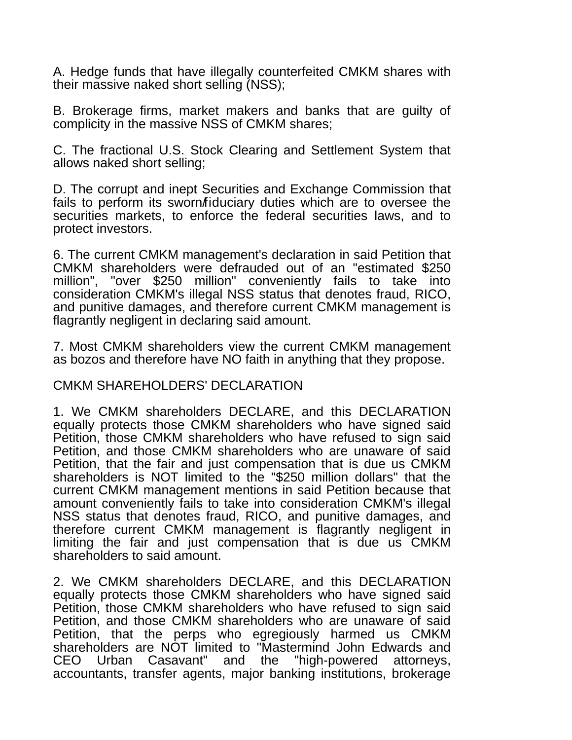A. Hedge funds that have illegally counterfeited CMKM shares with their massive naked short selling (NSS);

B. Brokerage firms, market makers and banks that are guilty of complicity in the massive NSS of CMKM shares;

C. The fractional U.S. Stock Clearing and Settlement System that allows naked short selling;

D. The corrupt and inept Securities and Exchange Commission that fails to perform its sworn *f*iduciary duties which are to oversee the securities markets, to enforce the federal securities laws, and to protect investors.

6. The current CMKM management's declaration in said Petition that CMKM shareholders were defrauded out of an "estimated \$250 million", "over \$250 million" conveniently fails to take into consideration CMKM's illegal NSS status that denotes fraud, RICO, and punitive damages, and therefore current CMKM management is flagrantly negligent in declaring said amount.

7. Most CMKM shareholders view the current CMKM management as bozos and therefore have NO faith in anything that they propose.

#### CMKM SHAREHOLDERS' DECLARATION

1. We CMKM shareholders DECLARE, and this DECLARATION equally protects those CMKM shareholders who have signed said Petition, those CMKM shareholders who have refused to sign said Petition, and those CMKM shareholders who are unaware of said Petition, that the fair and just compensation that is due us CMKM shareholders is NOT limited to the "\$250 million dollars" that the current CMKM management mentions in said Petition because that amount conveniently fails to take into consideration CMKM's illegal NSS status that denotes fraud, RICO, and punitive damages, and therefore current CMKM management is flagrantly negligent in limiting the fair and just compensation that is due us CMKM shareholders to said amount.

2. We CMKM shareholders DECLARE, and this DECLARATION equally protects those CMKM shareholders who have signed said Petition, those CMKM shareholders who have refused to sign said Petition, and those CMKM shareholders who are unaware of said Petition, that the perps who egregiously harmed us CMKM shareholders are NOT limited to "Mastermind John Edwards and CEO Urban Casavant" and the "high-powered attorneys, accountants, transfer agents, major banking institutions, brokerage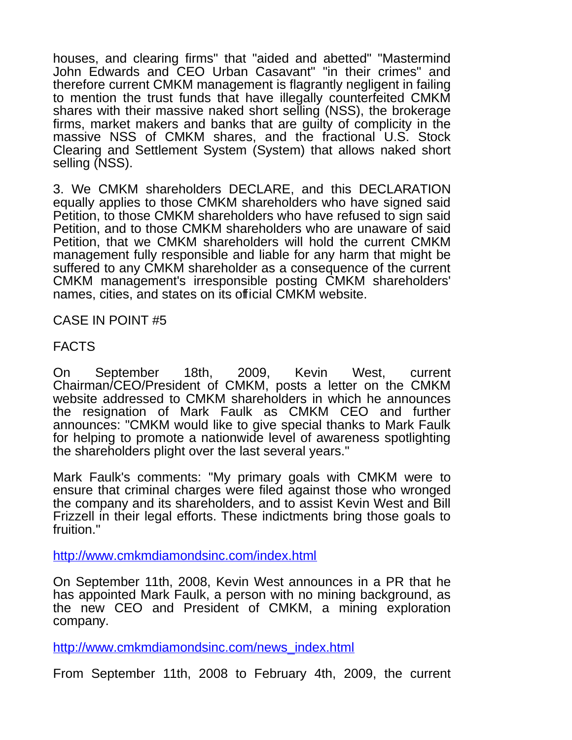houses, and clearing firms" that "aided and abetted" "Mastermind John Edwards and CEO Urban Casavant" "in their crimes" and therefore current CMKM management is flagrantly negligent in failing to mention the trust funds that have illegally counterfeited CMKM shares with their massive naked short selling (NSS), the brokerage firms, market makers and banks that are guilty of complicity in the massive NSS of CMKM shares, and the fractional U.S. Stock Clearing and Settlement System (System) that allows naked short selling (NSS).

3. We CMKM shareholders DECLARE, and this DECLARATION equally applies to those CMKM shareholders who have signed said Petition, to those CMKM shareholders who have refused to sign said Petition, and to those CMKM shareholders who are unaware of said Petition, that we CMKM shareholders will hold the current CMKM management fully responsible and liable for any harm that might be suffered to any CMKM shareholder as a consequence of the current CMKM management's irresponsible posting CMKM shareholders' names, cities, and states on its official CMKM website.

CASE IN POINT #5

FACTS

On September 18th, 2009, Kevin West, current Chairman/CEO/President of CMKM, posts a letter on the CMKM website addressed to CMKM shareholders in which he announces the resignation of Mark Faulk as CMKM CEO and further announces: "CMKM would like to give special thanks to Mark Faulk for helping to promote a nationwide level of awareness spotlighting the shareholders plight over the last several years."

Mark Faulk's comments: "My primary goals with CMKM were to ensure that criminal charges were filed against those who wronged the company and its shareholders, and to assist Kevin West and Bill Frizzell in their legal efforts. These indictments bring those goals to fruition."

<http://www.cmkmdiamondsinc.com/index.html>

On September 11th, 2008, Kevin West announces in a PR that he has appointed Mark Faulk, a person with no mining background, as the new CEO and President of CMKM, a mining exploration company.

[http://www.cmkmdiamondsinc.com/news\\_index.html](http://www.cmkmdiamondsinc.com/news_index.html)

From September 11th, 2008 to February 4th, 2009, the current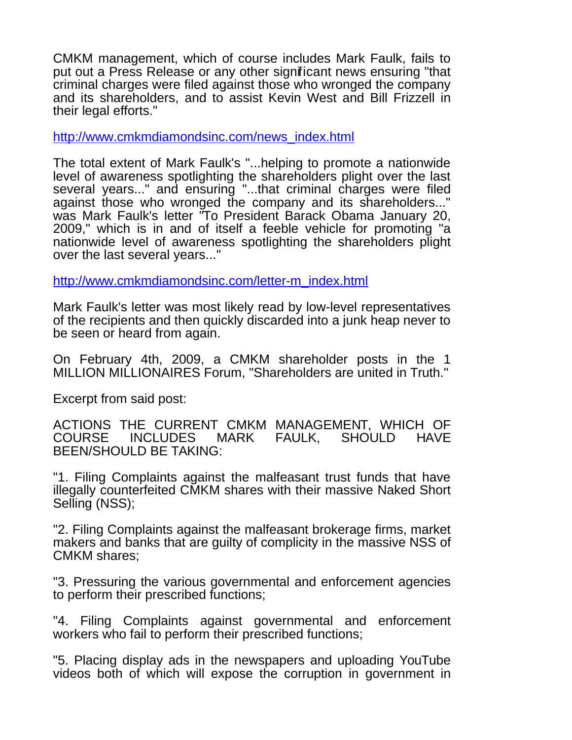CMKM management, which of course includes Mark Faulk, fails to put out a Press Release or any other significant news ensuring "that criminal charges were filed against those who wronged the company and its shareholders, and to assist Kevin West and Bill Frizzell in their legal efforts."

[http://www.cmkmdiamondsinc.com/news\\_index.html](http://www.cmkmdiamondsinc.com/news_index.html)

The total extent of Mark Faulk's "...helping to promote a nationwide level of awareness spotlighting the shareholders plight over the last several years..." and ensuring "...that criminal charges were filed against those who wronged the company and its shareholders..." was Mark Faulk's letter "To President Barack Obama January 20, 2009," which is in and of itself a feeble vehicle for promoting "a nationwide level of awareness spotlighting the shareholders plight over the last several years..."

[http://www.cmkmdiamondsinc.com/letter-m\\_index.html](http://www.cmkmdiamondsinc.com/letter-m_index.html)

Mark Faulk's letter was most likely read by low-level representatives of the recipients and then quickly discarded into a junk heap never to be seen or heard from again.

On February 4th, 2009, a CMKM shareholder posts in the 1 MILLION MILLIONAIRES Forum, "Shareholders are united in Truth."

Excerpt from said post:

ACTIONS THE CURRENT CMKM MANAGEMENT, WHICH OF<br>COURSE INCLUDES MARK FAULK. SHOULD HAVE COURSE INCLUDES MARK FAULK, SHOULD HAVE BEEN/SHOULD BE TAKING:

"1. Filing Complaints against the malfeasant trust funds that have illegally counterfeited CMKM shares with their massive Naked Short Selling (NSS);

"2. Filing Complaints against the malfeasant brokerage firms, market makers and banks that are guilty of complicity in the massive NSS of CMKM shares;

"3. Pressuring the various governmental and enforcement agencies to perform their prescribed functions;

"4. Filing Complaints against governmental and enforcement workers who fail to perform their prescribed functions;

"5. Placing display ads in the newspapers and uploading YouTube videos both of which will expose the corruption in government in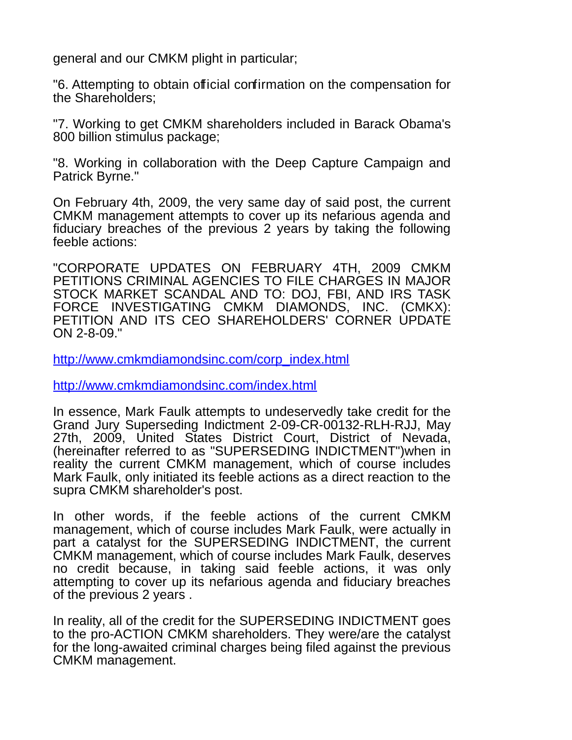general and our CMKM plight in particular;

"6. Attempting to obtain official confirmation on the compensation for the Shareholders;

"7. Working to get CMKM shareholders included in Barack Obama's 800 billion stimulus package;

"8. Working in collaboration with the Deep Capture Campaign and Patrick Byrne."

On February 4th, 2009, the very same day of said post, the current CMKM management attempts to cover up its nefarious agenda and fiduciary breaches of the previous 2 years by taking the following feeble actions:

"CORPORATE UPDATES ON FEBRUARY 4TH, 2009 CMKM PETITIONS CRIMINAL AGENCIES TO FILE CHARGES IN MAJOR STOCK MARKET SCANDAL AND TO: DOJ, FBI, AND IRS TASK FORCE INVESTIGATING CMKM DIAMONDS, INC. (CMKX): PETITION AND ITS CEO SHAREHOLDERS' CORNER UPDATE ON 2-8-09."

[http://www.cmkmdiamondsinc.com/corp\\_index.html](http://www.cmkmdiamondsinc.com/corp_index.html)

<http://www.cmkmdiamondsinc.com/index.html>

In essence, Mark Faulk attempts to undeservedly take credit for the Grand Jury Superseding Indictment 2-09-CR-00132-RLH-RJJ, May 27th, 2009, United States District Court, District of Nevada, (hereinafter referred to as "SUPERSEDING INDICTMENT")when in reality the current CMKM management, which of course includes Mark Faulk, only initiated its feeble actions as a direct reaction to the supra CMKM shareholder's post.

In other words, if the feeble actions of the current CMKM management, which of course includes Mark Faulk, were actually in part a catalyst for the SUPERSEDING INDICTMENT, the current CMKM management, which of course includes Mark Faulk, deserves no credit because, in taking said feeble actions, it was only attempting to cover up its nefarious agenda and fiduciary breaches of the previous 2 years .

In reality, all of the credit for the SUPERSEDING INDICTMENT goes to the pro-ACTION CMKM shareholders. They were/are the catalyst for the long-awaited criminal charges being filed against the previous CMKM management.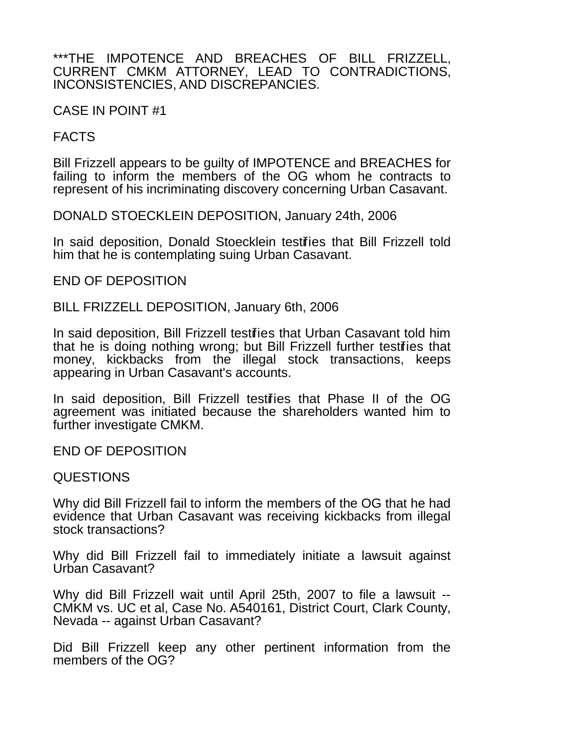#### \*\*\*THE IMPOTENCE AND BREACHES OF BILL FRIZZELL, CURRENT CMKM ATTORNEY, LEAD TO CONTRADICTIONS, INCONSISTENCIES, AND DISCREPANCIES.

CASE IN POINT #1

# FACTS

Bill Frizzell appears to be guilty of IMPOTENCE and BREACHES for failing to inform the members of the OG whom he contracts to represent of his incriminating discovery concerning Urban Casavant.

DONALD STOECKLEIN DEPOSITION, January 24th, 2006

In said deposition, Donald Stoecklein testifies that Bill Frizzell told him that he is contemplating suing Urban Casavant.

END OF DEPOSITION

BILL FRIZZELL DEPOSITION, January 6th, 2006

In said deposition, Bill Frizzell testifies that Urban Casavant told him that he is doing nothing wrong; but Bill Frizzell further testifies that money, kickbacks from the illegal stock transactions, keeps appearing in Urban Casavant's accounts.

In said deposition, Bill Frizzell testifies that Phase II of the OG agreement was initiated because the shareholders wanted him to further investigate CMKM.

END OF DEPOSITION

# QUESTIONS

Why did Bill Frizzell fail to inform the members of the OG that he had evidence that Urban Casavant was receiving kickbacks from illegal stock transactions?

Why did Bill Frizzell fail to immediately initiate a lawsuit against Urban Casavant?

Why did Bill Frizzell wait until April 25th, 2007 to file a lawsuit -- CMKM vs. UC et al, Case No. A540161, District Court, Clark County, Nevada -- against Urban Casavant?

Did Bill Frizzell keep any other pertinent information from the members of the OG?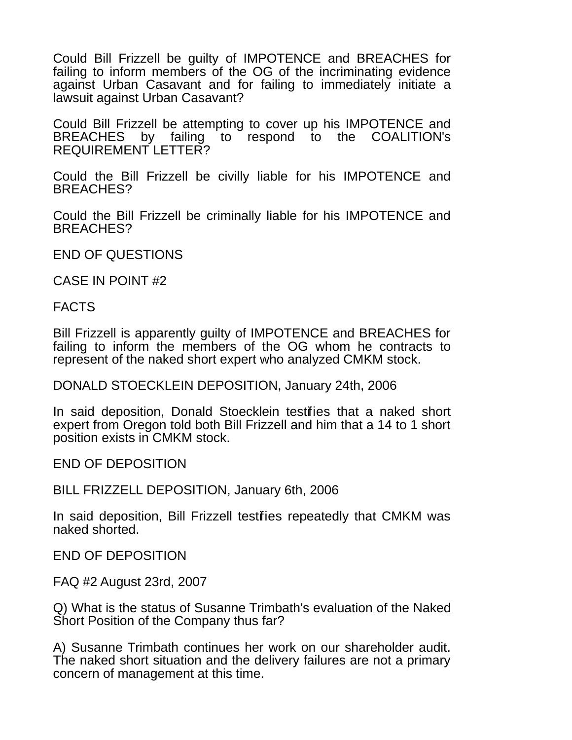Could Bill Frizzell be guilty of IMPOTENCE and BREACHES for failing to inform members of the OG of the incriminating evidence against Urban Casavant and for failing to immediately initiate a lawsuit against Urban Casavant?

Could Bill Frizzell be attempting to cover up his IMPOTENCE and BREACHES by failing to respond to the COALITION's REQUIREMENT LETTER?

Could the Bill Frizzell be civilly liable for his IMPOTENCE and BREACHES?

Could the Bill Frizzell be criminally liable for his IMPOTENCE and BREACHES?

END OF QUESTIONS

CASE IN POINT #2

FACTS

Bill Frizzell is apparently guilty of IMPOTENCE and BREACHES for failing to inform the members of the OG whom he contracts to represent of the naked short expert who analyzed CMKM stock.

DONALD STOECKLEIN DEPOSITION, January 24th, 2006

In said deposition, Donald Stoecklein testifies that a naked short expert from Oregon told both Bill Frizzell and him that a 14 to 1 short position exists in CMKM stock.

END OF DEPOSITION

BILL FRIZZELL DEPOSITION, January 6th, 2006

In said deposition, Bill Frizzell testifies repeatedly that CMKM was naked shorted.

END OF DEPOSITION

FAQ #2 August 23rd, 2007

Q) What is the status of Susanne Trimbath's evaluation of the Naked Short Position of the Company thus far?

A) Susanne Trimbath continues her work on our shareholder audit. The naked short situation and the delivery failures are not a primary concern of management at this time.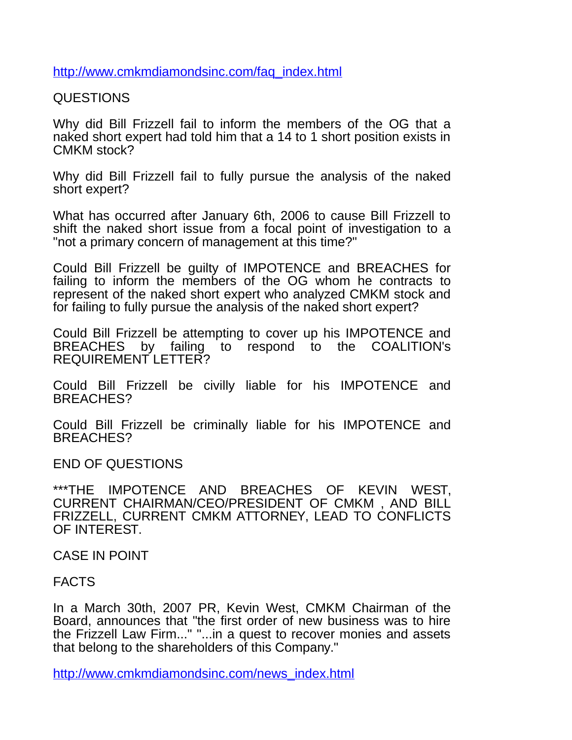[http://www.cmkmdiamondsinc.com/faq\\_index.html](http://www.cmkmdiamondsinc.com/faq_index.html)

QUESTIONS

Why did Bill Frizzell fail to inform the members of the OG that a naked short expert had told him that a 14 to 1 short position exists in CMKM stock?

Why did Bill Frizzell fail to fully pursue the analysis of the naked short expert?

What has occurred after January 6th, 2006 to cause Bill Frizzell to shift the naked short issue from a focal point of investigation to a "not a primary concern of management at this time?"

Could Bill Frizzell be guilty of IMPOTENCE and BREACHES for failing to inform the members of the OG whom he contracts to represent of the naked short expert who analyzed CMKM stock and for failing to fully pursue the analysis of the naked short expert?

Could Bill Frizzell be attempting to cover up his IMPOTENCE and BREACHES by failing to respond to the COALITION's REQUIREMENT LETTER?

Could Bill Frizzell be civilly liable for his IMPOTENCE and BREACHES?

Could Bill Frizzell be criminally liable for his IMPOTENCE and BREACHES?

END OF QUESTIONS

\*\*\*THE IMPOTENCE AND BREACHES OF KEVIN WEST, CURRENT CHAIRMAN/CEO/PRESIDENT OF CMKM , AND BILL FRIZZELL, CURRENT CMKM ATTORNEY, LEAD TO CONFLICTS OF INTEREST.

CASE IN POINT

FACTS

In a March 30th, 2007 PR, Kevin West, CMKM Chairman of the Board, announces that "the first order of new business was to hire the Frizzell Law Firm..." "...in a quest to recover monies and assets that belong to the shareholders of this Company."

[http://www.cmkmdiamondsinc.com/news\\_index.html](http://www.cmkmdiamondsinc.com/news_index.html)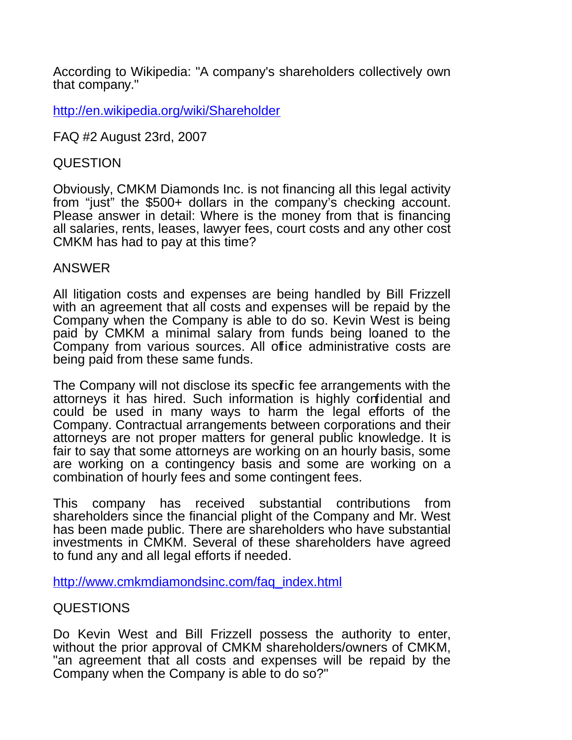According to Wikipedia: "A company's shareholders collectively own that company."

<http://en.wikipedia.org/wiki/Shareholder>

FAQ #2 August 23rd, 2007

### QUESTION

Obviously, CMKM Diamonds Inc. is not financing all this legal activity from "just" the \$500+ dollars in the company's checking account. Please answer in detail: Where is the money from that is financing all salaries, rents, leases, lawyer fees, court costs and any other cost CMKM has had to pay at this time?

### ANSWER

All litigation costs and expenses are being handled by Bill Frizzell with an agreement that all costs and expenses will be repaid by the Company when the Company is able to do so. Kevin West is being paid by CMKM a minimal salary from funds being loaned to the Company from various sources. All office administrative costs are being paid from these same funds.

The Company will not disclose its specific fee arrangements with the attorneys it has hired. Such information is highly confidential and could be used in many ways to harm the legal efforts of the Company. Contractual arrangements between corporations and their attorneys are not proper matters for general public knowledge. It is fair to say that some attorneys are working on an hourly basis, some are working on a contingency basis and some are working on a combination of hourly fees and some contingent fees.

This company has received substantial contributions from shareholders since the financial plight of the Company and Mr. West has been made public. There are shareholders who have substantial investments in CMKM. Several of these shareholders have agreed to fund any and all legal efforts if needed.

[http://www.cmkmdiamondsinc.com/faq\\_index.html](http://www.cmkmdiamondsinc.com/faq_index.html)

# QUESTIONS

Do Kevin West and Bill Frizzell possess the authority to enter, without the prior approval of CMKM shareholders/owners of CMKM, "an agreement that all costs and expenses will be repaid by the Company when the Company is able to do so?"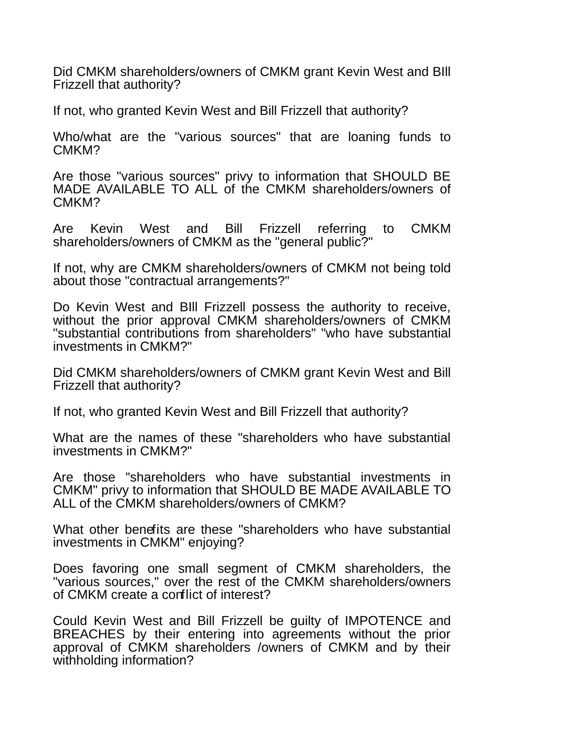Did CMKM shareholders/owners of CMKM grant Kevin West and BIll Frizzell that authority?

If not, who granted Kevin West and Bill Frizzell that authority?

Who/what are the "various sources" that are loaning funds to CMKM?

Are those "various sources" privy to information that SHOULD BE MADE AVAILABLE TO ALL of the CMKM shareholders/owners of CMKM?

Are Kevin West and Bill Frizzell referring to CMKM shareholders/owners of CMKM as the "general public?"

If not, why are CMKM shareholders/owners of CMKM not being told about those "contractual arrangements?"

Do Kevin West and BIll Frizzell possess the authority to receive, without the prior approval CMKM shareholders/owners of CMKM "substantial contributions from shareholders" "who have substantial investments in CMKM?"

Did CMKM shareholders/owners of CMKM grant Kevin West and Bill Frizzell that authority?

If not, who granted Kevin West and Bill Frizzell that authority?

What are the names of these "shareholders who have substantial investments in CMKM?"

Are those "shareholders who have substantial investments in CMKM" privy to information that SHOULD BE MADE AVAILABLE TO ALL of the CMKM shareholders/owners of CMKM?

What other benefits are these "shareholders who have substantial investments in CMKM" enjoying?

Does favoring one small segment of CMKM shareholders, the "various sources," over the rest of the CMKM shareholders/owners of CMKM create a conflict of interest?

Could Kevin West and Bill Frizzell be guilty of IMPOTENCE and BREACHES by their entering into agreements without the prior approval of CMKM shareholders /owners of CMKM and by their withholding information?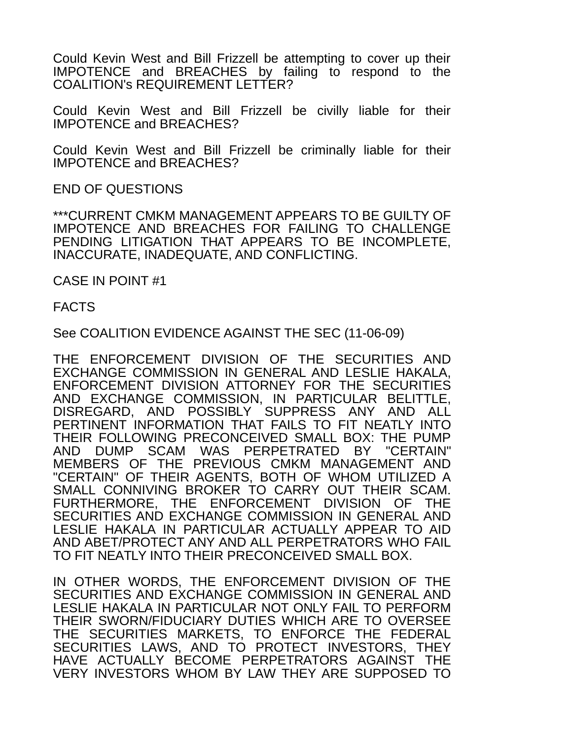Could Kevin West and Bill Frizzell be attempting to cover up their IMPOTENCE and BREACHES by failing to respond to the COALITION's REQUIREMENT LETTER?

Could Kevin West and Bill Frizzell be civilly liable for their IMPOTENCE and BREACHES?

Could Kevin West and Bill Frizzell be criminally liable for their IMPOTENCE and BREACHES?

END OF QUESTIONS

\*\*\*CURRENT CMKM MANAGEMENT APPEARS TO BE GUILTY OF IMPOTENCE AND BREACHES FOR FAILING TO CHALLENGE PENDING LITIGATION THAT APPEARS TO BE INCOMPLETE, INACCURATE, INADEQUATE, AND CONFLICTING.

CASE IN POINT #1

FACTS

See COALITION EVIDENCE AGAINST THE SEC (11-06-09)

THE ENFORCEMENT DIVISION OF THE SECURITIES AND EXCHANGE COMMISSION IN GENERAL AND LESLIE HAKALA, ENFORCEMENT DIVISION ATTORNEY FOR THE SECURITIES AND EXCHANGE COMMISSION, IN PARTICULAR BELITTLE, DISREGARD, AND POSSIBLY SUPPRESS ANY AND ALL PERTINENT INFORMATION THAT FAILS TO FIT NEATLY INTO THEIR FOLLOWING PRECONCEIVED SMALL BOX: THE PUMP AND DUMP SCAM WAS PERPETRATED BY "CERTAIN" MEMBERS OF THE PREVIOUS CMKM MANAGEMENT AND "CERTAIN" OF THEIR AGENTS, BOTH OF WHOM UTILIZED A SMALL CONNIVING BROKER TO CARRY OUT THEIR SCAM. FURTHERMORE, THE ENFORCEMENT DIVISION OF THE SECURITIES AND EXCHANGE COMMISSION IN GENERAL AND LESLIE HAKALA IN PARTICULAR ACTUALLY APPEAR TO AID AND ABET/PROTECT ANY AND ALL PERPETRATORS WHO FAIL TO FIT NEATLY INTO THEIR PRECONCEIVED SMALL BOX.

IN OTHER WORDS, THE ENFORCEMENT DIVISION OF THE SECURITIES AND EXCHANGE COMMISSION IN GENERAL AND LESLIE HAKALA IN PARTICULAR NOT ONLY FAIL TO PERFORM THEIR SWORN/FIDUCIARY DUTIES WHICH ARE TO OVERSEE THE SECURITIES MARKETS, TO ENFORCE THE FEDERAL SECURITIES LAWS, AND TO PROTECT INVESTORS, THEY HAVE ACTUALLY BECOME PERPETRATORS AGAINST THE VERY INVESTORS WHOM BY LAW THEY ARE SUPPOSED TO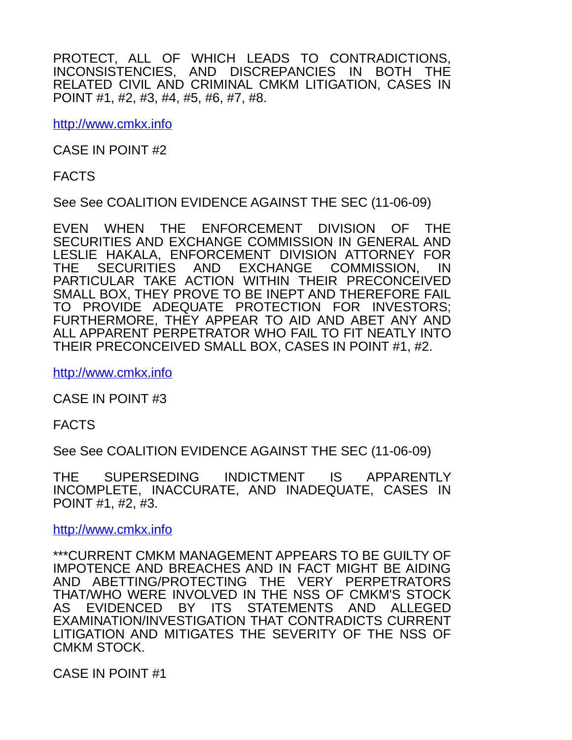PROTECT, ALL OF WHICH LEADS TO CONTRADICTIONS, INCONSISTENCIES, AND DISCREPANCIES IN BOTH THE RELATED CIVIL AND CRIMINAL CMKM LITIGATION, CASES IN POINT #1, #2, #3, #4, #5, #6, #7, #8.

[http://www.cmkx.info](http://cmkx.info/)

CASE IN POINT #2

FACTS

See See COALITION EVIDENCE AGAINST THE SEC (11-06-09)

EVEN WHEN THE ENFORCEMENT DIVISION OF THE SECURITIES AND EXCHANGE COMMISSION IN GENERAL AND LESLIE HAKALA, ENFORCEMENT DIVISION ATTORNEY FOR THE SECURITIES AND EXCHANGE COMMISSION, IN PARTICULAR TAKE ACTION WITHIN THEIR PRECONCEIVED SMALL BOX, THEY PROVE TO BE INEPT AND THEREFORE FAIL TO PROVIDE ADEQUATE PROTECTION FOR INVESTORS; FURTHERMORE, THEY APPEAR TO AID AND ABET ANY AND ALL APPARENT PERPETRATOR WHO FAIL TO FIT NEATLY INTO THEIR PRECONCEIVED SMALL BOX, CASES IN POINT #1, #2.

[http://www.cmkx.info](http://cmkx.info/)

CASE IN POINT #3

FACTS

See See COALITION EVIDENCE AGAINST THE SEC (11-06-09)

THE SUPERSEDING INDICTMENT IS APPARENTLY INCOMPLETE, INACCURATE, AND INADEQUATE, CASES IN POINT #1, #2, #3.

[http://www.cmkx.info](http://cmkx.info/)

\*\*\*CURRENT CMKM MANAGEMENT APPEARS TO BE GUILTY OF IMPOTENCE AND BREACHES AND IN FACT MIGHT BE AIDING AND ABETTING/PROTECTING THE VERY PERPETRATORS THAT/WHO WERE INVOLVED IN THE NSS OF CMKM'S STOCK AS EVIDENCED BY ITS STATEMENTS AND ALLEGED EXAMINATION/INVESTIGATION THAT CONTRADICTS CURRENT LITIGATION AND MITIGATES THE SEVERITY OF THE NSS OF CMKM STOCK.

CASE IN POINT #1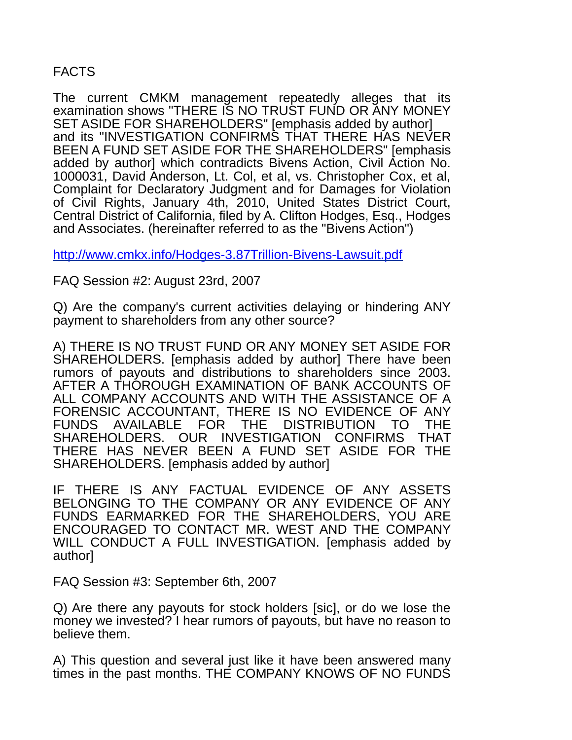# FACTS

The current CMKM management repeatedly alleges that its examination shows "THERE IS NO TRUST FUND OR ANY MONEY SET ASIDE FOR SHAREHOLDERS" [emphasis added by author] and its "INVESTIGATION CONFIRMS THAT THERE HAS NEVER BEEN A FUND SET ASIDE FOR THE SHAREHOLDERS" [emphasis added by author] which contradicts Bivens Action, Civil Action No. 1000031, David Anderson, Lt. Col, et al, vs. Christopher Cox, et al, Complaint for Declaratory Judgment and for Damages for Violation of Civil Rights, January 4th, 2010, United States District Court, Central District of California, filed by A. Clifton Hodges, Esq., Hodges and Associates. (hereinafter referred to as the "Bivens Action")

<http://www.cmkx.info/Hodges-3.87Trillion-Bivens-Lawsuit.pdf>

FAQ Session #2: August 23rd, 2007

Q) Are the company's current activities delaying or hindering ANY payment to shareholders from any other source?

A) THERE IS NO TRUST FUND OR ANY MONEY SET ASIDE FOR SHAREHOLDERS. [emphasis added by author] There have been rumors of payouts and distributions to shareholders since 2003. AFTER A THOROUGH EXAMINATION OF BANK ACCOUNTS OF ALL COMPANY ACCOUNTS AND WITH THE ASSISTANCE OF A FORENSIC ACCOUNTANT, THERE IS NO EVIDENCE OF ANY FUNDS AVAILABLE FOR THE DISTRIBUTION TO THE SHAREHOLDERS. OUR INVESTIGATION CONFIRMS THAT THERE HAS NEVER BEEN A FUND SET ASIDE FOR THE SHAREHOLDERS. [emphasis added by author]

IF THERE IS ANY FACTUAL EVIDENCE OF ANY ASSETS BELONGING TO THE COMPANY OR ANY EVIDENCE OF ANY FUNDS EARMARKED FOR THE SHAREHOLDERS, YOU ARE ENCOURAGED TO CONTACT MR. WEST AND THE COMPANY WILL CONDUCT A FULL INVESTIGATION. [emphasis added by author]

FAQ Session #3: September 6th, 2007

Q) Are there any payouts for stock holders [sic], or do we lose the money we invested? I hear rumors of payouts, but have no reason to believe them.

A) This question and several just like it have been answered many times in the past months. THE COMPANY KNOWS OF NO FUNDS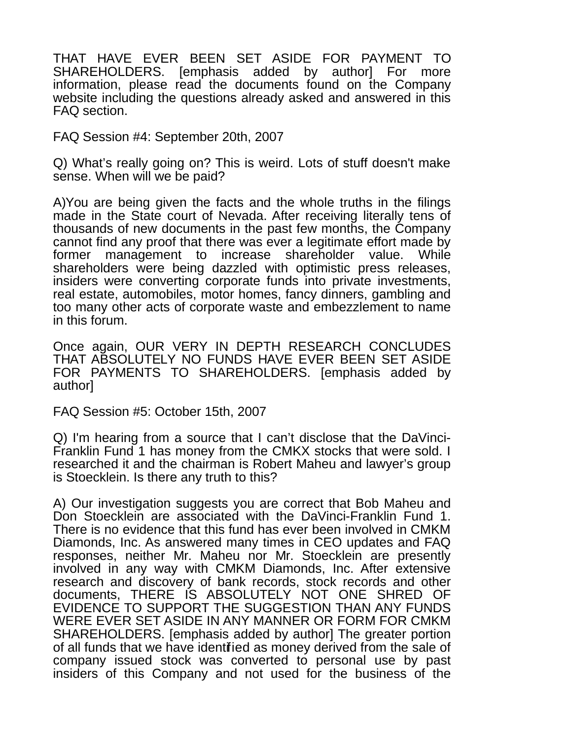THAT HAVE EVER BEEN SET ASIDE FOR PAYMENT TO SHAREHOLDERS. [emphasis added by author] For more information, please read the documents found on the Company website including the questions already asked and answered in this FAQ section.

FAQ Session #4: September 20th, 2007

Q) What's really going on? This is weird. Lots of stuff doesn't make sense. When will we be paid?

A)You are being given the facts and the whole truths in the filings made in the State court of Nevada. After receiving literally tens of thousands of new documents in the past few months, the Company cannot find any proof that there was ever a legitimate effort made by former management to increase shareholder value. While shareholders were being dazzled with optimistic press releases, insiders were converting corporate funds into private investments, real estate, automobiles, motor homes, fancy dinners, gambling and too many other acts of corporate waste and embezzlement to name in this forum.

Once again, OUR VERY IN DEPTH RESEARCH CONCLUDES THAT ABSOLUTELY NO FUNDS HAVE EVER BEEN SET ASIDE FOR PAYMENTS TO SHAREHOLDERS. [emphasis added by author]

FAQ Session #5: October 15th, 2007

Q) I'm hearing from a source that I can't disclose that the DaVinci-Franklin Fund 1 has money from the CMKX stocks that were sold. I researched it and the chairman is Robert Maheu and lawyer's group is Stoecklein. Is there any truth to this?

A) Our investigation suggests you are correct that Bob Maheu and Don Stoecklein are associated with the DaVinci-Franklin Fund 1. There is no evidence that this fund has ever been involved in CMKM Diamonds, Inc. As answered many times in CEO updates and FAQ responses, neither Mr. Maheu nor Mr. Stoecklein are presently involved in any way with CMKM Diamonds, Inc. After extensive research and discovery of bank records, stock records and other documents, THERE IS ABSOLUTELY NOT ONE SHRED OF EVIDENCE TO SUPPORT THE SUGGESTION THAN ANY FUNDS WERE EVER SET ASIDE IN ANY MANNER OR FORM FOR CMKM SHAREHOLDERS. [emphasis added by author] The greater portion of all funds that we have identified as money derived from the sale of company issued stock was converted to personal use by past insiders of this Company and not used for the business of the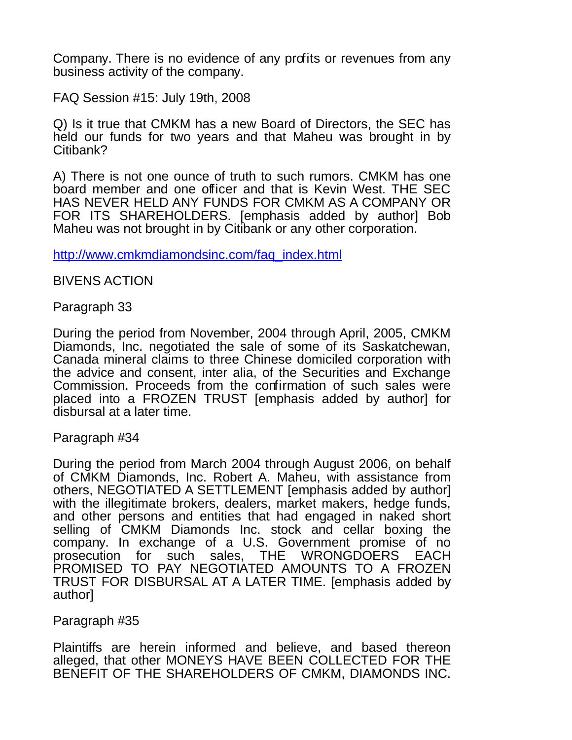Company. There is no evidence of any profits or revenues from any business activity of the company.

FAQ Session #15: July 19th, 2008

Q) Is it true that CMKM has a new Board of Directors, the SEC has held our funds for two years and that Maheu was brought in by Citibank?

A) There is not one ounce of truth to such rumors. CMKM has one board member and one officer and that is Kevin West. THE SEC HAS NEVER HELD ANY FUNDS FOR CMKM AS A COMPANY OR FOR ITS SHAREHOLDERS. [emphasis added by author] Bob Maheu was not brought in by Citibank or any other corporation.

[http://www.cmkmdiamondsinc.com/faq\\_index.html](http://www.cmkmdiamondsinc.com/faq_index.html)

BIVENS ACTION

Paragraph 33

During the period from November, 2004 through April, 2005, CMKM Diamonds, Inc. negotiated the sale of some of its Saskatchewan, Canada mineral claims to three Chinese domiciled corporation with the advice and consent, inter alia, of the Securities and Exchange Commission. Proceeds from the confirmation of such sales were placed into a FROZEN TRUST [emphasis added by author] for disbursal at a later time.

Paragraph #34

During the period from March 2004 through August 2006, on behalf of CMKM Diamonds, Inc. Robert A. Maheu, with assistance from others, NEGOTIATED A SETTLEMENT [emphasis added by author] with the illegitimate brokers, dealers, market makers, hedge funds, and other persons and entities that had engaged in naked short selling of CMKM Diamonds Inc. stock and cellar boxing the company. In exchange of a U.S. Government promise of no prosecution for such sales, THE WRONGDOERS EACH PROMISED TO PAY NEGOTIATED AMOUNTS TO A FROZEN TRUST FOR DISBURSAL AT A LATER TIME. [emphasis added by author]

Paragraph #35

Plaintiffs are herein informed and believe, and based thereon alleged, that other MONEYS HAVE BEEN COLLECTED FOR THE BENEFIT OF THE SHAREHOLDERS OF CMKM, DIAMONDS INC.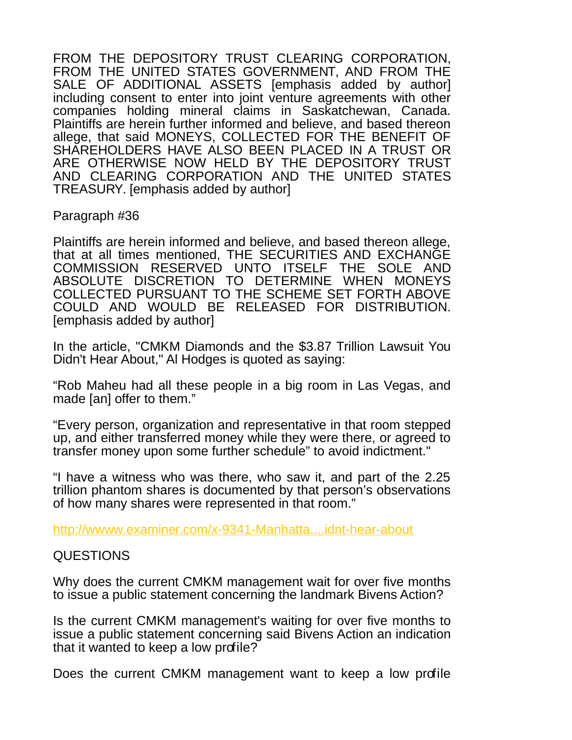FROM THE DEPOSITORY TRUST CLEARING CORPORATION, FROM THE UNITED STATES GOVERNMENT, AND FROM THE SALE OF ADDITIONAL ASSETS [emphasis added by author] including consent to enter into joint venture agreements with other companies holding mineral claims in Saskatchewan, Canada. Plaintiffs are herein further informed and believe, and based thereon allege, that said MONEYS, COLLECTED FOR THE BENEFIT OF SHAREHOLDERS HAVE ALSO BEEN PLACED IN A TRUST OR ARE OTHERWISE NOW HELD BY THE DEPOSITORY TRUST AND CLEARING CORPORATION AND THE UNITED STATES TREASURY. [emphasis added by author]

Paragraph #36

Plaintiffs are herein informed and believe, and based thereon allege, that at all times mentioned, THE SECURITIES AND EXCHANGE COMMISSION RESERVED UNTO ITSELF THE SOLE AND ABSOLUTE DISCRETION TO DETERMINE WHEN MONEYS COLLECTED PURSUANT TO THE SCHEME SET FORTH ABOVE COULD AND WOULD BE RELEASED FOR DISTRIBUTION. [emphasis added by author]

In the article, "CMKM Diamonds and the \$3.87 Trillion Lawsuit You Didn't Hear About," Al Hodges is quoted as saying:

"Rob Maheu had all these people in a big room in Las Vegas, and made [an] offer to them."

"Every person, organization and representative in that room stepped up, and either transferred money while they were there, or agreed to transfer money upon some further schedule" to avoid indictment."

"I have a witness who was there, who saw it, and part of the 2.25 trillion phantom shares is documented by that person's observations of how many shares were represented in that room."

<http://wwww.examiner.com/x-9341-Manhatta....idnt-hear-about>

# QUESTIONS

Why does the current CMKM management wait for over five months to issue a public statement concerning the landmark Bivens Action?

Is the current CMKM management's waiting for over five months to issue a public statement concerning said Bivens Action an indication that it wanted to keep a low profile?

Does the current CMKM management want to keep a low profile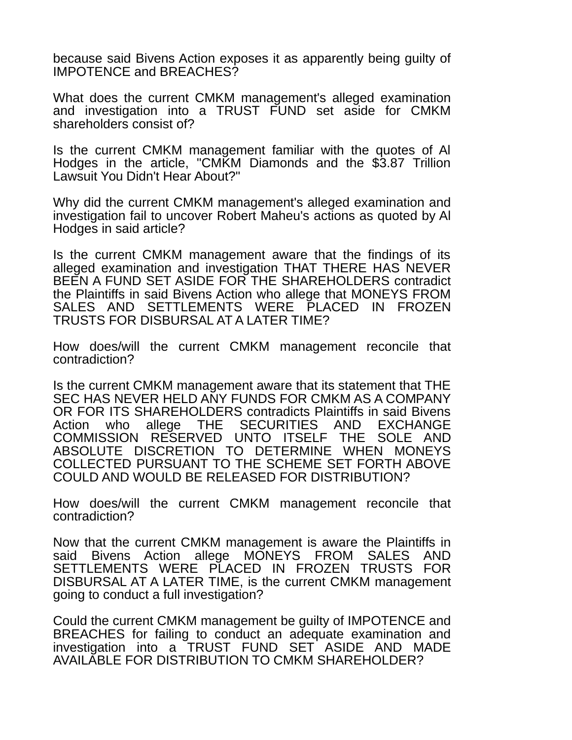because said Bivens Action exposes it as apparently being guilty of IMPOTENCE and BREACHES?

What does the current CMKM management's alleged examination and investigation into a TRUST FUND set aside for CMKM shareholders consist of?

Is the current CMKM management familiar with the quotes of Al Hodges in the article, "CMKM Diamonds and the \$3.87 Trillion Lawsuit You Didn't Hear About?"

Why did the current CMKM management's alleged examination and investigation fail to uncover Robert Maheu's actions as quoted by Al Hodges in said article?

Is the current CMKM management aware that the findings of its alleged examination and investigation THAT THERE HAS NEVER BEEN A FUND SET ASIDE FOR THE SHAREHOLDERS contradict the Plaintiffs in said Bivens Action who allege that MONEYS FROM SALES AND SETTLEMENTS WERE PLACED IN FROZEN TRUSTS FOR DISBURSAL AT A LATER TIME?

How does/will the current CMKM management reconcile that contradiction?

Is the current CMKM management aware that its statement that THE SEC HAS NEVER HELD ANY FUNDS FOR CMKM AS A COMPANY OR FOR ITS SHAREHOLDERS contradicts Plaintiffs in said Bivens Action who allege THE SECURITIES AND EXCHANGE COMMISSION RESERVED UNTO ITSELF THE SOLE AND ABSOLUTE DISCRETION TO DETERMINE WHEN MONEYS COLLECTED PURSUANT TO THE SCHEME SET FORTH ABOVE COULD AND WOULD BE RELEASED FOR DISTRIBUTION?

How does/will the current CMKM management reconcile that contradiction?

Now that the current CMKM management is aware the Plaintiffs in said Bivens Action allege MONEYS FROM SALES AND SETTLEMENTS WERE PLACED IN FROZEN TRUSTS FOR DISBURSAL AT A LATER TIME, is the current CMKM management going to conduct a full investigation?

Could the current CMKM management be guilty of IMPOTENCE and BREACHES for failing to conduct an adequate examination and investigation into a TRUST FUND SET ASIDE AND MADE AVAILABLE FOR DISTRIBUTION TO CMKM SHAREHOLDER?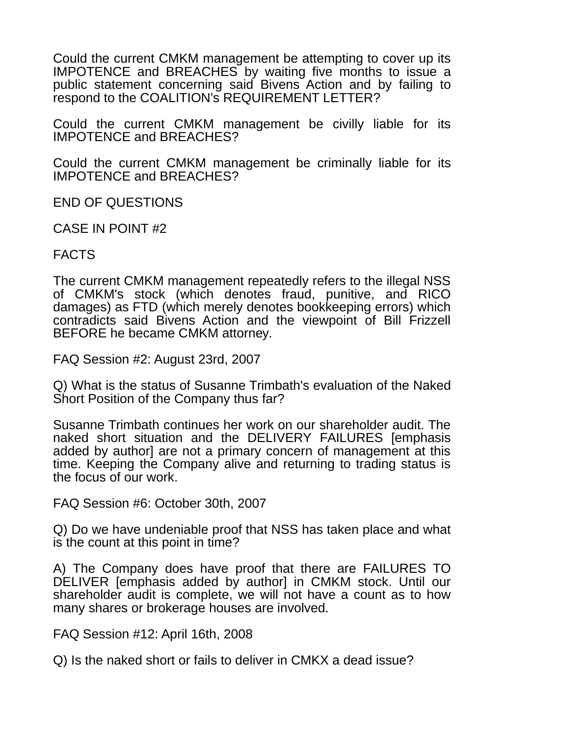Could the current CMKM management be attempting to cover up its IMPOTENCE and BREACHES by waiting five months to issue a public statement concerning said Bivens Action and by failing to respond to the COALITION's REQUIREMENT LETTER?

Could the current CMKM management be civilly liable for its IMPOTENCE and BREACHES?

Could the current CMKM management be criminally liable for its IMPOTENCE and BREACHES?

END OF QUESTIONS

CASE IN POINT #2

FACTS

The current CMKM management repeatedly refers to the illegal NSS of CMKM's stock (which denotes fraud, punitive, and RICO damages) as FTD (which merely denotes bookkeeping errors) which contradicts said Bivens Action and the viewpoint of Bill Frizzell BEFORE he became CMKM attorney.

FAQ Session #2: August 23rd, 2007

Q) What is the status of Susanne Trimbath's evaluation of the Naked Short Position of the Company thus far?

Susanne Trimbath continues her work on our shareholder audit. The naked short situation and the DELIVERY FAILURES [emphasis added by author] are not a primary concern of management at this time. Keeping the Company alive and returning to trading status is the focus of our work.

FAQ Session #6: October 30th, 2007

Q) Do we have undeniable proof that NSS has taken place and what is the count at this point in time?

A) The Company does have proof that there are FAILURES TO DELIVER [emphasis added by author] in CMKM stock. Until our shareholder audit is complete, we will not have a count as to how many shares or brokerage houses are involved.

FAQ Session #12: April 16th, 2008

Q) Is the naked short or fails to deliver in CMKX a dead issue?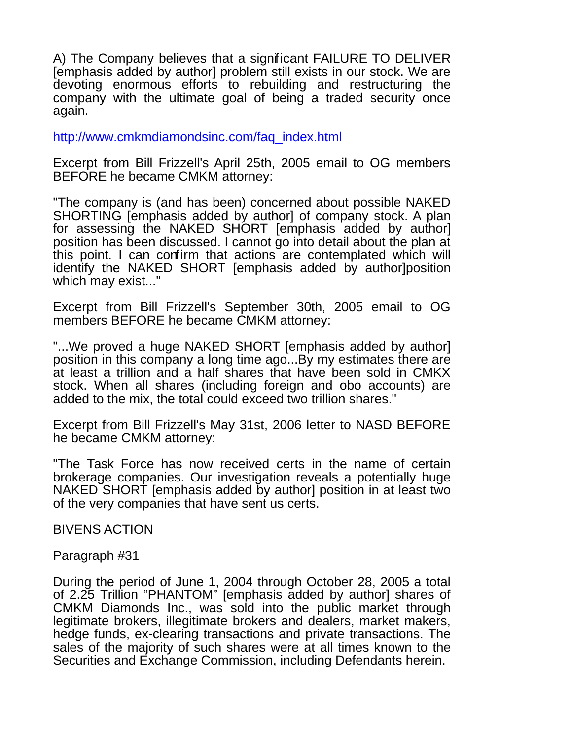A) The Company believes that a significant FAILURE TO DELIVER [emphasis added by author] problem still exists in our stock. We are devoting enormous efforts to rebuilding and restructuring the company with the ultimate goal of being a traded security once again.

[http://www.cmkmdiamondsinc.com/faq\\_index.html](http://www.cmkmdiamondsinc.com/faq_index.html)

Excerpt from Bill Frizzell's April 25th, 2005 email to OG members BEFORE he became CMKM attorney:

"The company is (and has been) concerned about possible NAKED SHORTING [emphasis added by author] of company stock. A plan for assessing the NAKED SHORT [emphasis added by author] position has been discussed. I cannot go into detail about the plan at this point. I can confirm that actions are contemplated which will identify the NAKED SHORT [emphasis added by author]position which may exist..."

Excerpt from Bill Frizzell's September 30th, 2005 email to OG members BEFORE he became CMKM attorney:

"...We proved a huge NAKED SHORT [emphasis added by author] position in this company a long time ago...By my estimates there are at least a trillion and a half shares that have been sold in CMKX stock. When all shares (including foreign and obo accounts) are added to the mix, the total could exceed two trillion shares."

Excerpt from Bill Frizzell's May 31st, 2006 letter to NASD BEFORE he became CMKM attorney:

"The Task Force has now received certs in the name of certain brokerage companies. Our investigation reveals a potentially huge NAKED SHORT [emphasis added by author] position in at least two of the very companies that have sent us certs.

BIVENS ACTION

Paragraph #31

During the period of June 1, 2004 through October 28, 2005 a total of 2.25 Trillion "PHANTOM" [emphasis added by author] shares of CMKM Diamonds Inc., was sold into the public market through legitimate brokers, illegitimate brokers and dealers, market makers, hedge funds, ex-clearing transactions and private transactions. The sales of the majority of such shares were at all times known to the Securities and Exchange Commission, including Defendants herein.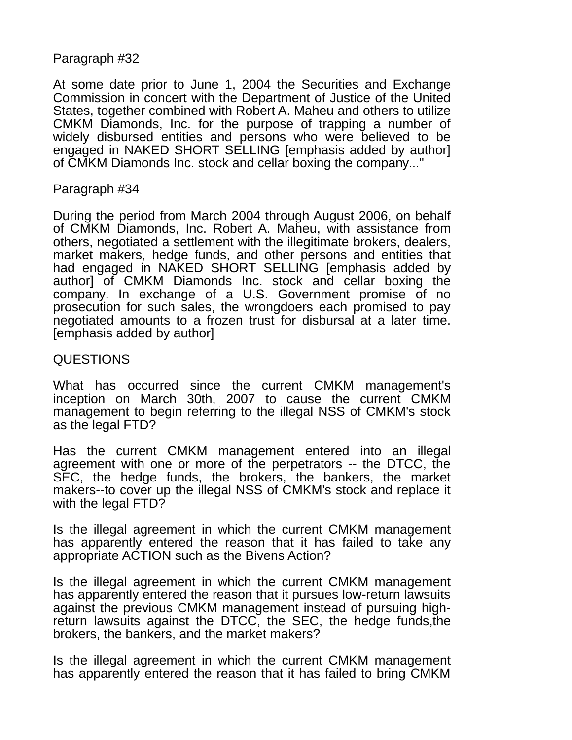# Paragraph #32

At some date prior to June 1, 2004 the Securities and Exchange Commission in concert with the Department of Justice of the United States, together combined with Robert A. Maheu and others to utilize CMKM Diamonds, Inc. for the purpose of trapping a number of widely disbursed entities and persons who were believed to be engaged in NAKED SHORT SELLING [emphasis added by author] of CMKM Diamonds Inc. stock and cellar boxing the company..."

#### Paragraph #34

During the period from March 2004 through August 2006, on behalf of CMKM Diamonds, Inc. Robert A. Maheu, with assistance from others, negotiated a settlement with the illegitimate brokers, dealers, market makers, hedge funds, and other persons and entities that had engaged in NAKED SHORT SELLING [emphasis added by author] of CMKM Diamonds Inc. stock and cellar boxing the company. In exchange of a U.S. Government promise of no prosecution for such sales, the wrongdoers each promised to pay negotiated amounts to a frozen trust for disbursal at a later time. [emphasis added by author]

# QUESTIONS

What has occurred since the current CMKM management's inception on March 30th, 2007 to cause the current CMKM management to begin referring to the illegal NSS of CMKM's stock as the legal FTD?

Has the current CMKM management entered into an illegal agreement with one or more of the perpetrators -- the DTCC, the SEC, the hedge funds, the brokers, the bankers, the market makers--to cover up the illegal NSS of CMKM's stock and replace it with the legal FTD?

Is the illegal agreement in which the current CMKM management has apparently entered the reason that it has failed to take any appropriate ACTION such as the Bivens Action?

Is the illegal agreement in which the current CMKM management has apparently entered the reason that it pursues low-return lawsuits against the previous CMKM management instead of pursuing highreturn lawsuits against the DTCC, the SEC, the hedge funds,the brokers, the bankers, and the market makers?

Is the illegal agreement in which the current CMKM management has apparently entered the reason that it has failed to bring CMKM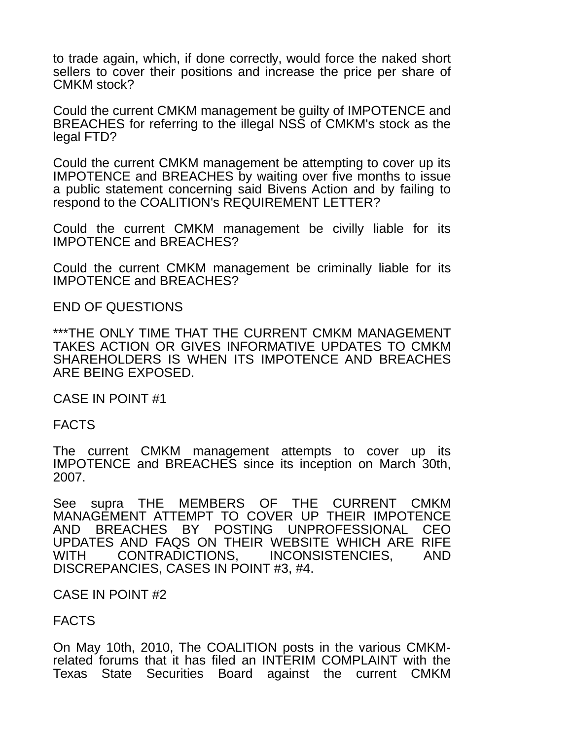to trade again, which, if done correctly, would force the naked short sellers to cover their positions and increase the price per share of CMKM stock?

Could the current CMKM management be guilty of IMPOTENCE and BREACHES for referring to the illegal NSS of CMKM's stock as the legal FTD?

Could the current CMKM management be attempting to cover up its IMPOTENCE and BREACHES by waiting over five months to issue a public statement concerning said Bivens Action and by failing to respond to the COALITION's REQUIREMENT LETTER?

Could the current CMKM management be civilly liable for its IMPOTENCE and BREACHES?

Could the current CMKM management be criminally liable for its IMPOTENCE and BREACHES?

END OF QUESTIONS

\*\*\*THE ONLY TIME THAT THE CURRENT CMKM MANAGEMENT TAKES ACTION OR GIVES INFORMATIVE UPDATES TO CMKM SHAREHOLDERS IS WHEN ITS IMPOTENCE AND BREACHES ARE BEING EXPOSED.

CASE IN POINT #1

FACTS

The current CMKM management attempts to cover up its IMPOTENCE and BREACHES since its inception on March 30th, 2007.

See supra THE MEMBERS OF THE CURRENT CMKM MANAGEMENT ATTEMPT TO COVER UP THEIR IMPOTENCE AND BREACHES BY POSTING UNPROFESSIONAL CEO UPDATES AND FAQS ON THEIR WEBSITE WHICH ARE RIFE WITH CONTRADICTIONS, INCONSISTENCIES, AND DISCREPANCIES, CASES IN POINT #3, #4.

#### CASE IN POINT #2

# FACTS

On May 10th, 2010, The COALITION posts in the various CMKMrelated forums that it has filed an INTERIM COMPLAINT with the Texas State Securities Board against the current CMKM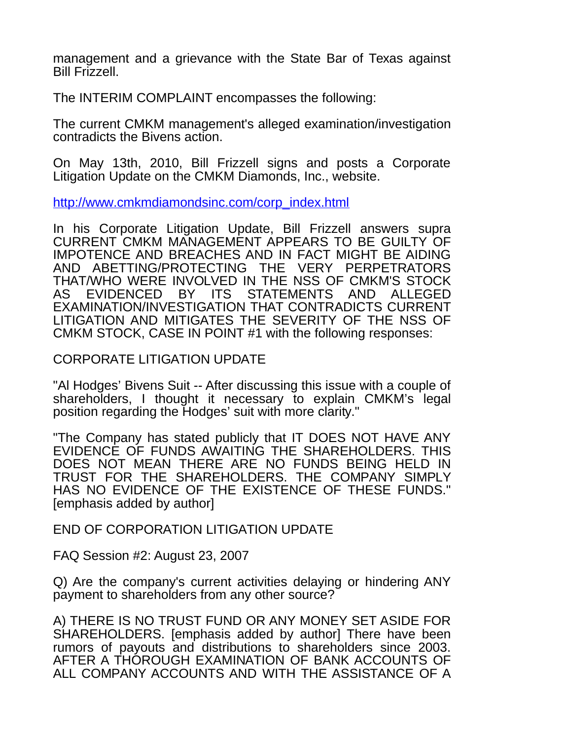management and a grievance with the State Bar of Texas against Bill Frizzell.

The INTERIM COMPLAINT encompasses the following:

The current CMKM management's alleged examination/investigation contradicts the Bivens action.

On May 13th, 2010, Bill Frizzell signs and posts a Corporate Litigation Update on the CMKM Diamonds, Inc., website.

[http://www.cmkmdiamondsinc.com/corp\\_index.html](http://www.cmkmdiamondsinc.com/corp_index.html)

In his Corporate Litigation Update, Bill Frizzell answers supra CURRENT CMKM MANAGEMENT APPEARS TO BE GUILTY OF IMPOTENCE AND BREACHES AND IN FACT MIGHT BE AIDING AND ABETTING/PROTECTING THE VERY PERPETRATORS THAT/WHO WERE INVOLVED IN THE NSS OF CMKM'S STOCK AS EVIDENCED BY ITS STATEMENTS AND ALLEGED EXAMINATION/INVESTIGATION THAT CONTRADICTS CURRENT LITIGATION AND MITIGATES THE SEVERITY OF THE NSS OF CMKM STOCK, CASE IN POINT #1 with the following responses:

### CORPORATE LITIGATION UPDATE

"Al Hodges' Bivens Suit -- After discussing this issue with a couple of shareholders, I thought it necessary to explain CMKM's legal position regarding the Hodges' suit with more clarity."

"The Company has stated publicly that IT DOES NOT HAVE ANY EVIDENCE OF FUNDS AWAITING THE SHAREHOLDERS. THIS DOES NOT MEAN THERE ARE NO FUNDS BEING HELD IN TRUST FOR THE SHAREHOLDERS. THE COMPANY SIMPLY HAS NO EVIDENCE OF THE EXISTENCE OF THESE FUNDS." [emphasis added by author]

END OF CORPORATION LITIGATION UPDATE

FAQ Session #2: August 23, 2007

Q) Are the company's current activities delaying or hindering ANY payment to shareholders from any other source?

A) THERE IS NO TRUST FUND OR ANY MONEY SET ASIDE FOR SHAREHOLDERS. [emphasis added by author] There have been rumors of payouts and distributions to shareholders since 2003. AFTER A THOROUGH EXAMINATION OF BANK ACCOUNTS OF ALL COMPANY ACCOUNTS AND WITH THE ASSISTANCE OF A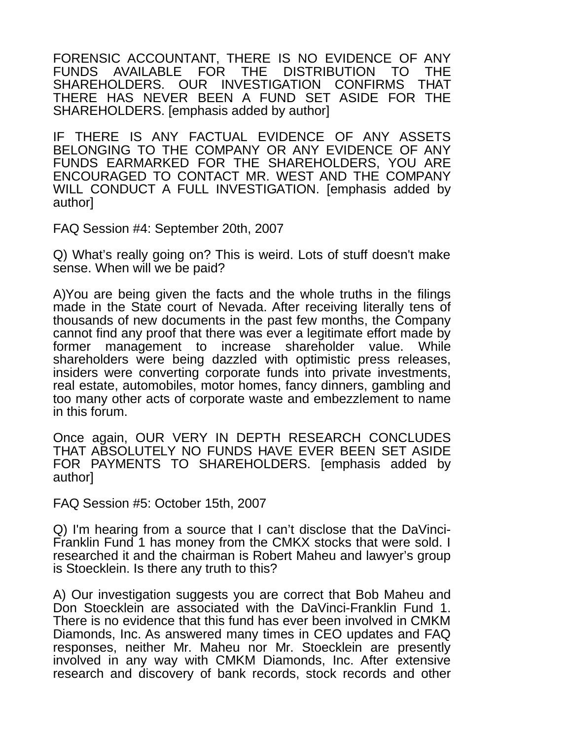FORENSIC ACCOUNTANT, THERE IS NO EVIDENCE OF ANY FUNDS AVAILABLE FOR THE DISTRIBUTION TO THE SHAREHOLDERS. OUR INVESTIGATION CONFIRMS THAT THERE HAS NEVER BEEN A FUND SET ASIDE FOR THE SHAREHOLDERS. [emphasis added by author]

IF THERE IS ANY FACTUAL EVIDENCE OF ANY ASSETS BELONGING TO THE COMPANY OR ANY EVIDENCE OF ANY FUNDS EARMARKED FOR THE SHAREHOLDERS, YOU ARE ENCOURAGED TO CONTACT MR. WEST AND THE COMPANY WILL CONDUCT A FULL INVESTIGATION. [emphasis added by author]

FAQ Session #4: September 20th, 2007

Q) What's really going on? This is weird. Lots of stuff doesn't make sense. When will we be paid?

A)You are being given the facts and the whole truths in the filings made in the State court of Nevada. After receiving literally tens of thousands of new documents in the past few months, the Company cannot find any proof that there was ever a legitimate effort made by former management to increase shareholder value. While shareholders were being dazzled with optimistic press releases, insiders were converting corporate funds into private investments, real estate, automobiles, motor homes, fancy dinners, gambling and too many other acts of corporate waste and embezzlement to name in this forum.

Once again, OUR VERY IN DEPTH RESEARCH CONCLUDES THAT ABSOLUTELY NO FUNDS HAVE EVER BEEN SET ASIDE FOR PAYMENTS TO SHAREHOLDERS. [emphasis added by author]

FAQ Session #5: October 15th, 2007

Q) I'm hearing from a source that I can't disclose that the DaVinci-Franklin Fund 1 has money from the CMKX stocks that were sold. I researched it and the chairman is Robert Maheu and lawyer's group is Stoecklein. Is there any truth to this?

A) Our investigation suggests you are correct that Bob Maheu and Don Stoecklein are associated with the DaVinci-Franklin Fund 1. There is no evidence that this fund has ever been involved in CMKM Diamonds, Inc. As answered many times in CEO updates and FAQ responses, neither Mr. Maheu nor Mr. Stoecklein are presently involved in any way with CMKM Diamonds, Inc. After extensive research and discovery of bank records, stock records and other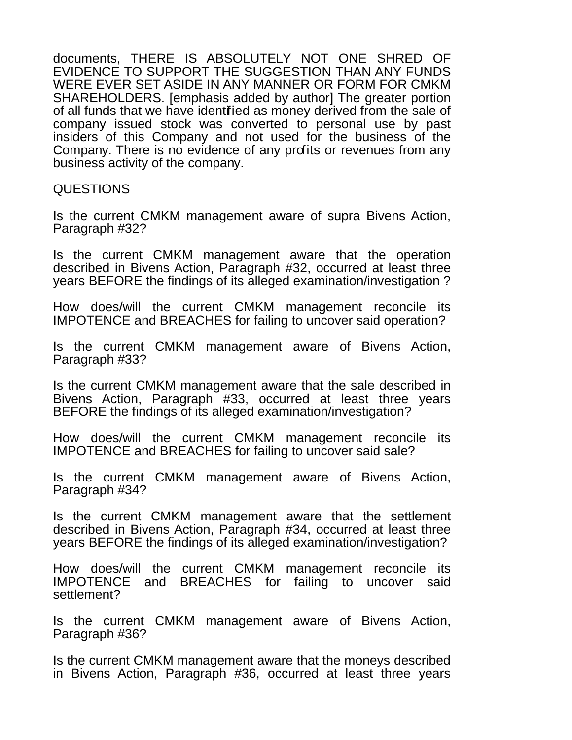documents, THERE IS ABSOLUTELY NOT ONE SHRED OF EVIDENCE TO SUPPORT THE SUGGESTION THAN ANY FUNDS WERE EVER SET ASIDE IN ANY MANNER OR FORM FOR CMKM SHAREHOLDERS. [emphasis added by author] The greater portion of all funds that we have identified as money derived from the sale of company issued stock was converted to personal use by past insiders of this Company and not used for the business of the Company. There is no evidence of any profits or revenues from any business activity of the company.

#### QUESTIONS

Is the current CMKM management aware of supra Bivens Action, Paragraph #32?

Is the current CMKM management aware that the operation described in Bivens Action, Paragraph #32, occurred at least three years BEFORE the findings of its alleged examination/investigation ?

How does/will the current CMKM management reconcile its IMPOTENCE and BREACHES for failing to uncover said operation?

Is the current CMKM management aware of Bivens Action, Paragraph #33?

Is the current CMKM management aware that the sale described in Bivens Action, Paragraph #33, occurred at least three years BEFORE the findings of its alleged examination/investigation?

How does/will the current CMKM management reconcile its IMPOTENCE and BREACHES for failing to uncover said sale?

Is the current CMKM management aware of Bivens Action, Paragraph #34?

Is the current CMKM management aware that the settlement described in Bivens Action, Paragraph #34, occurred at least three years BEFORE the findings of its alleged examination/investigation?

How does/will the current CMKM management reconcile its IMPOTENCE and BREACHES for failing to uncover said settlement?

Is the current CMKM management aware of Bivens Action, Paragraph #36?

Is the current CMKM management aware that the moneys described in Bivens Action, Paragraph #36, occurred at least three years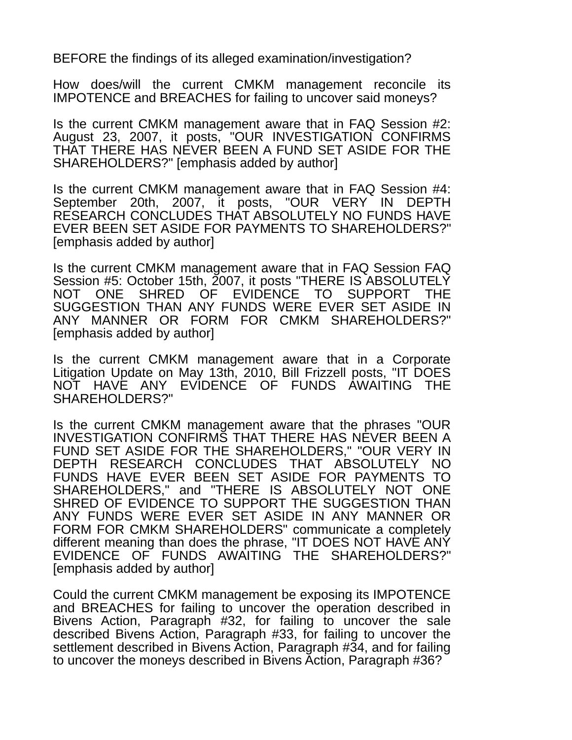BEFORE the findings of its alleged examination/investigation?

How does/will the current CMKM management reconcile its IMPOTENCE and BREACHES for failing to uncover said moneys?

Is the current CMKM management aware that in FAQ Session #2: August 23, 2007, it posts, "OUR INVESTIGATION CONFIRMS THAT THERE HAS NEVER BEEN A FUND SET ASIDE FOR THE SHAREHOLDERS?" [emphasis added by author]

Is the current CMKM management aware that in FAQ Session #4: September 20th, 2007, it posts, "OUR VERY IN DEPTH RESEARCH CONCLUDES THAT ABSOLUTELY NO FUNDS HAVE EVER BEEN SET ASIDE FOR PAYMENTS TO SHAREHOLDERS?" [emphasis added by author]

Is the current CMKM management aware that in FAQ Session FAQ Session #5: October 15th, 2007, it posts "THERE IS ABSOLUTELY NOT ONE SHRED OF EVIDENCE TO SUPPORT THE SUGGESTION THAN ANY FUNDS WERE EVER SET ASIDE IN ANY MANNER OR FORM FOR CMKM SHAREHOLDERS?" [emphasis added by author]

Is the current CMKM management aware that in a Corporate Litigation Update on May 13th, 2010, Bill Frizzell posts, "IT DOES NOT HAVE ANY EVIDENCE OF FUNDS AWAITING THE SHAREHOLDERS?"

Is the current CMKM management aware that the phrases "OUR INVESTIGATION CONFIRMS THAT THERE HAS NEVER BEEN A FUND SET ASIDE FOR THE SHAREHOLDERS," "OUR VERY IN DEPTH RESEARCH CONCLUDES THAT ABSOLUTELY NO FUNDS HAVE EVER BEEN SET ASIDE FOR PAYMENTS TO SHAREHOLDERS," and "THERE IS ABSOLUTELY NOT ONE SHRED OF EVIDENCE TO SUPPORT THE SUGGESTION THAN ANY FUNDS WERE EVER SET ASIDE IN ANY MANNER OR FORM FOR CMKM SHAREHOLDERS" communicate a completely different meaning than does the phrase, "IT DOES NOT HAVE ANY EVIDENCE OF FUNDS AWAITING THE SHAREHOLDERS?" [emphasis added by author]

Could the current CMKM management be exposing its IMPOTENCE and BREACHES for failing to uncover the operation described in Bivens Action, Paragraph #32, for failing to uncover the sale described Bivens Action, Paragraph #33, for failing to uncover the settlement described in Bivens Action, Paragraph #34, and for failing to uncover the moneys described in Bivens Action, Paragraph #36?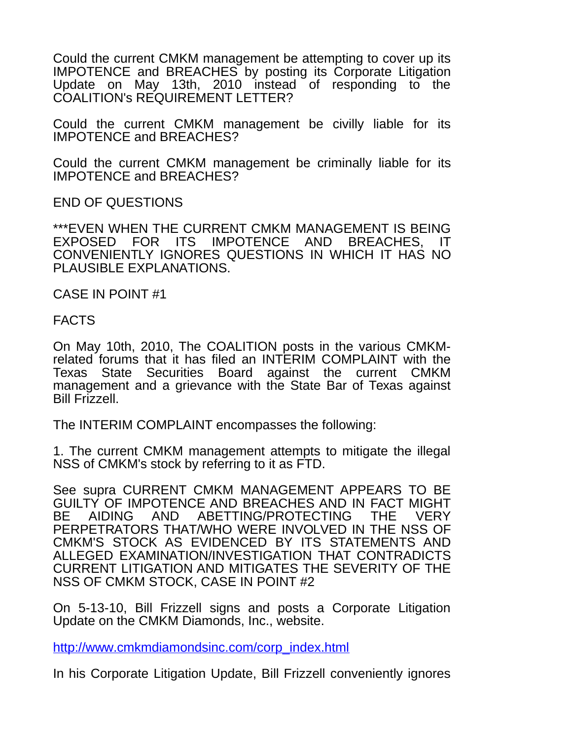Could the current CMKM management be attempting to cover up its IMPOTENCE and BREACHES by posting its Corporate Litigation Update on May 13th, 2010 instead of responding to the COALITION's REQUIREMENT LETTER?

Could the current CMKM management be civilly liable for its IMPOTENCE and BREACHES?

Could the current CMKM management be criminally liable for its IMPOTENCE and BREACHES?

END OF QUESTIONS

\*\*\*EVEN WHEN THE CURRENT CMKM MANAGEMENT IS BEING EXPOSED FOR ITS IMPOTENCE AND BREACHES, IT CONVENIENTLY IGNORES QUESTIONS IN WHICH IT HAS NO PLAUSIBLE EXPLANATIONS.

CASE IN POINT #1

FACTS

On May 10th, 2010, The COALITION posts in the various CMKMrelated forums that it has filed an INTERIM COMPLAINT with the Texas State Securities Board against the current CMKM management and a grievance with the State Bar of Texas against Bill Frizzell.

The INTERIM COMPLAINT encompasses the following:

1. The current CMKM management attempts to mitigate the illegal NSS of CMKM's stock by referring to it as FTD.

See supra CURRENT CMKM MANAGEMENT APPEARS TO BE GUILTY OF IMPOTENCE AND BREACHES AND IN FACT MIGHT BE AIDING AND ABETTING/PROTECTING THE VERY PERPETRATORS THAT/WHO WERE INVOLVED IN THE NSS OF CMKM'S STOCK AS EVIDENCED BY ITS STATEMENTS AND ALLEGED EXAMINATION/INVESTIGATION THAT CONTRADICTS CURRENT LITIGATION AND MITIGATES THE SEVERITY OF THE NSS OF CMKM STOCK, CASE IN POINT #2

On 5-13-10, Bill Frizzell signs and posts a Corporate Litigation Update on the CMKM Diamonds, Inc., website.

[http://www.cmkmdiamondsinc.com/corp\\_index.html](http://www.cmkmdiamondsinc.com/corp_index.html)

In his Corporate Litigation Update, Bill Frizzell conveniently ignores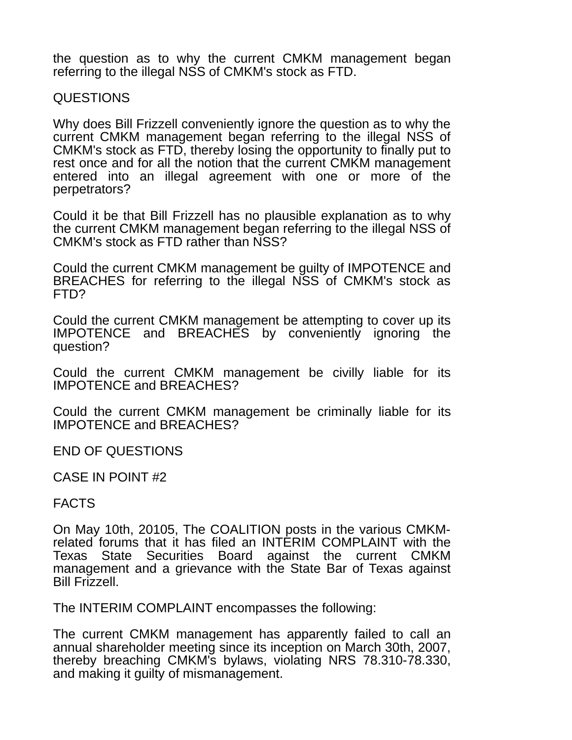the question as to why the current CMKM management began referring to the illegal NSS of CMKM's stock as FTD.

### QUESTIONS

Why does Bill Frizzell conveniently ignore the question as to why the current CMKM management began referring to the illegal NSS of CMKM's stock as FTD, thereby losing the opportunity to finally put to rest once and for all the notion that the current CMKM management entered into an illegal agreement with one or more of the perpetrators?

Could it be that Bill Frizzell has no plausible explanation as to why the current CMKM management began referring to the illegal NSS of CMKM's stock as FTD rather than NSS?

Could the current CMKM management be guilty of IMPOTENCE and BREACHES for referring to the illegal NSS of CMKM's stock as FTD?

Could the current CMKM management be attempting to cover up its IMPOTENCE and BREACHES by conveniently ignoring the question?

Could the current CMKM management be civilly liable for its IMPOTENCE and BREACHES?

Could the current CMKM management be criminally liable for its IMPOTENCE and BREACHES?

END OF QUESTIONS

CASE IN POINT #2

# FACTS

On May 10th, 20105, The COALITION posts in the various CMKMrelated forums that it has filed an INTERIM COMPLAINT with the Texas State Securities Board against the current CMKM management and a grievance with the State Bar of Texas against Bill Frizzell.

The INTERIM COMPLAINT encompasses the following:

The current CMKM management has apparently failed to call an annual shareholder meeting since its inception on March 30th, 2007, thereby breaching CMKM's bylaws, violating NRS 78.310-78.330, and making it guilty of mismanagement.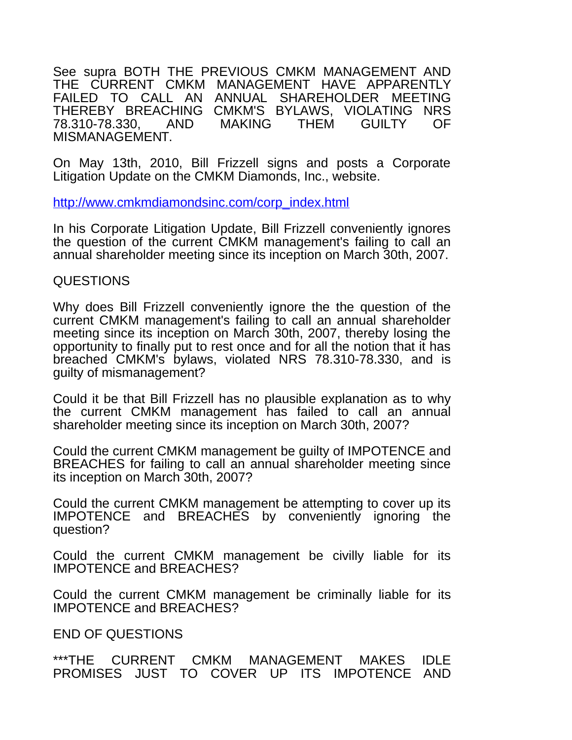See supra BOTH THE PREVIOUS CMKM MANAGEMENT AND THE CURRENT CMKM MANAGEMENT HAVE APPARENTLY FAILED TO CALL AN ANNUAL SHAREHOLDER MEETING THEREBY BREACHING CMKM'S BYLAWS, VIOLATING NRS<br>78.310-78.330. AND MAKING THEM GUILTY OF 78.310-78.330. AND MAKING THEM MISMANAGEMENT.

On May 13th, 2010, Bill Frizzell signs and posts a Corporate Litigation Update on the CMKM Diamonds, Inc., website.

[http://www.cmkmdiamondsinc.com/corp\\_index.html](http://www.cmkmdiamondsinc.com/corp_index.html)

In his Corporate Litigation Update, Bill Frizzell conveniently ignores the question of the current CMKM management's failing to call an annual shareholder meeting since its inception on March 30th, 2007.

#### QUESTIONS

Why does Bill Frizzell conveniently ignore the the question of the current CMKM management's failing to call an annual shareholder meeting since its inception on March 30th, 2007, thereby losing the opportunity to finally put to rest once and for all the notion that it has breached CMKM's bylaws, violated NRS 78.310-78.330, and is guilty of mismanagement?

Could it be that Bill Frizzell has no plausible explanation as to why the current CMKM management has failed to call an annual shareholder meeting since its inception on March 30th, 2007?

Could the current CMKM management be guilty of IMPOTENCE and BREACHES for failing to call an annual shareholder meeting since its inception on March 30th, 2007?

Could the current CMKM management be attempting to cover up its IMPOTENCE and BREACHES by conveniently ignoring the question?

Could the current CMKM management be civilly liable for its IMPOTENCE and BREACHES?

Could the current CMKM management be criminally liable for its IMPOTENCE and BREACHES?

END OF QUESTIONS

\*\*\*THE CURRENT CMKM MANAGEMENT MAKES IDLE PROMISES JUST TO COVER UP ITS IMPOTENCE AND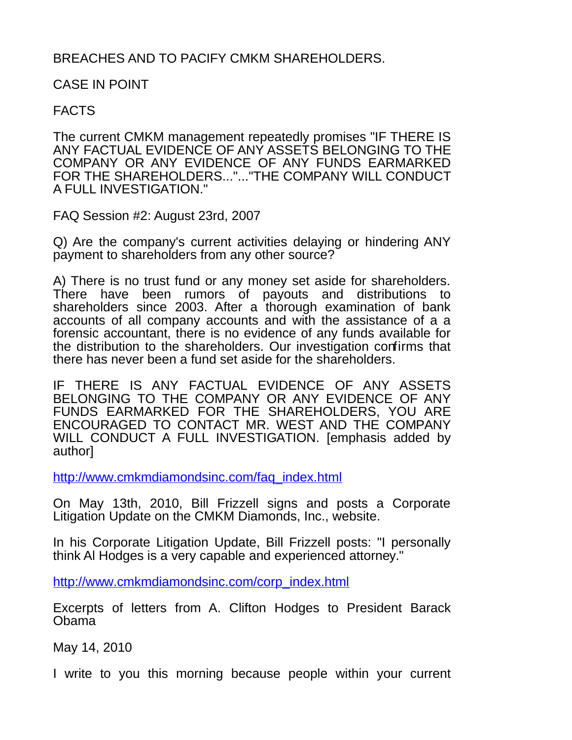# BREACHES AND TO PACIFY CMKM SHAREHOLDERS.

CASE IN POINT

# FACTS

The current CMKM management repeatedly promises "IF THERE IS ANY FACTUAL EVIDENCE OF ANY ASSETS BELONGING TO THE COMPANY OR ANY EVIDENCE OF ANY FUNDS EARMARKED FOR THE SHAREHOLDERS..."..."THE COMPANY WILL CONDUCT A FULL INVESTIGATION."

FAQ Session #2: August 23rd, 2007

Q) Are the company's current activities delaying or hindering ANY payment to shareholders from any other source?

A) There is no trust fund or any money set aside for shareholders. There have been rumors of payouts and distributions to shareholders since 2003. After a thorough examination of bank accounts of all company accounts and with the assistance of a a forensic accountant, there is no evidence of any funds available for the distribution to the shareholders. Our investigation confirms that there has never been a fund set aside for the shareholders.

IF THERE IS ANY FACTUAL EVIDENCE OF ANY ASSETS BELONGING TO THE COMPANY OR ANY EVIDENCE OF ANY FUNDS EARMARKED FOR THE SHAREHOLDERS, YOU ARE ENCOURAGED TO CONTACT MR. WEST AND THE COMPANY WILL CONDUCT A FULL INVESTIGATION. [emphasis added by author]

[http://www.cmkmdiamondsinc.com/faq\\_index.html](http://www.cmkmdiamondsinc.com/faq_index.html)

On May 13th, 2010, Bill Frizzell signs and posts a Corporate Litigation Update on the CMKM Diamonds, Inc., website.

In his Corporate Litigation Update, Bill Frizzell posts: "I personally think Al Hodges is a very capable and experienced attorney."

[http://www.cmkmdiamondsinc.com/corp\\_index.html](http://www.cmkmdiamondsinc.com/corp_index.html)

Excerpts of letters from A. Clifton Hodges to President Barack Obama

May 14, 2010

I write to you this morning because people within your current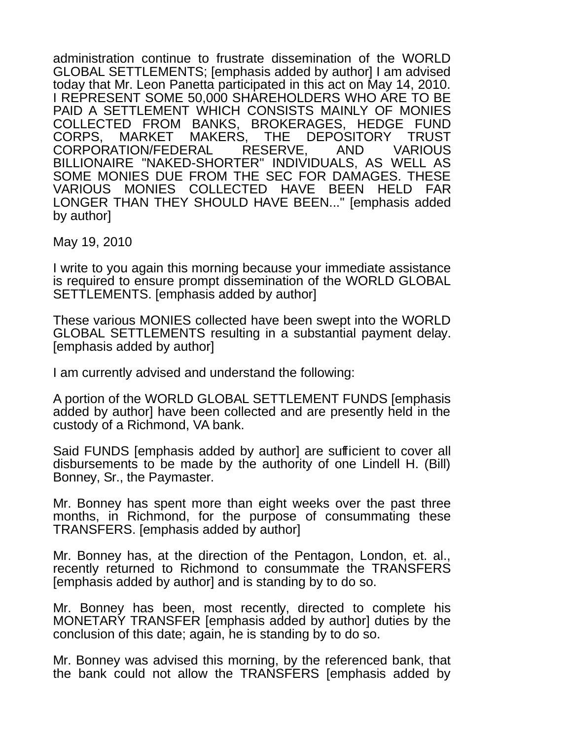administration continue to frustrate dissemination of the WORLD GLOBAL SETTLEMENTS; [emphasis added by author] I am advised today that Mr. Leon Panetta participated in this act on May 14, 2010. I REPRESENT SOME 50,000 SHAREHOLDERS WHO ARE TO BE PAID A SETTLEMENT WHICH CONSISTS MAINLY OF MONIES COLLECTED FROM BANKS, BROKERAGES, HEDGE FUND CORPS, MARKET MAKERS, THE DEPOSITORY TRUST CORPORATION/FEDERAL RESERVE, AND VARIOUS BILLIONAIRE "NAKED-SHORTER" INDIVIDUALS, AS WELL AS SOME MONIES DUE FROM THE SEC FOR DAMAGES. THESE VARIOUS MONIES COLLECTED HAVE BEEN HELD FAR LONGER THAN THEY SHOULD HAVE BEEN..." [emphasis added by author]

May 19, 2010

I write to you again this morning because your immediate assistance is required to ensure prompt dissemination of the WORLD GLOBAL SETTLEMENTS. [emphasis added by author]

These various MONIES collected have been swept into the WORLD GLOBAL SETTLEMENTS resulting in a substantial payment delay. [emphasis added by author]

I am currently advised and understand the following:

A portion of the WORLD GLOBAL SETTLEMENT FUNDS [emphasis added by author] have been collected and are presently held in the custody of a Richmond, VA bank.

Said FUNDS [emphasis added by author] are sufficient to cover all disbursements to be made by the authority of one Lindell H. (Bill) Bonney, Sr., the Paymaster.

Mr. Bonney has spent more than eight weeks over the past three months, in Richmond, for the purpose of consummating these TRANSFERS. [emphasis added by author]

Mr. Bonney has, at the direction of the Pentagon, London, et. al., recently returned to Richmond to consummate the TRANSFERS [emphasis added by author] and is standing by to do so.

Mr. Bonney has been, most recently, directed to complete his MONETARY TRANSFER [emphasis added by author] duties by the conclusion of this date; again, he is standing by to do so.

Mr. Bonney was advised this morning, by the referenced bank, that the bank could not allow the TRANSFERS [emphasis added by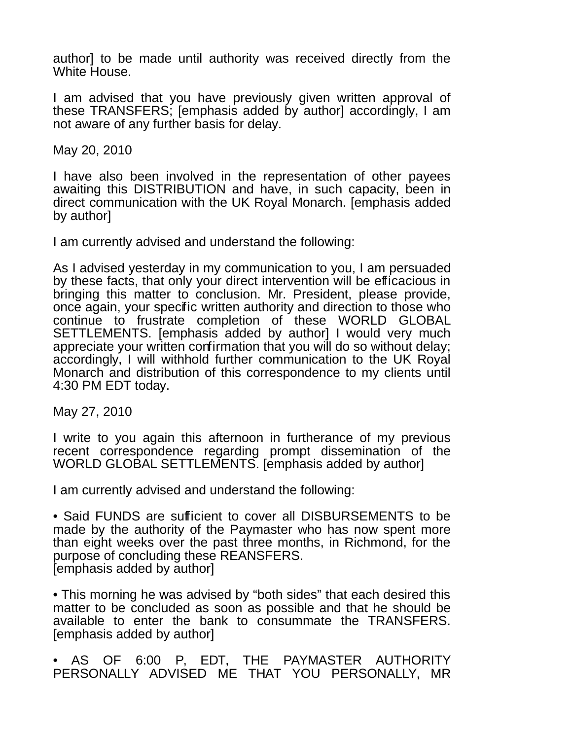author] to be made until authority was received directly from the White House.

I am advised that you have previously given written approval of these TRANSFERS; [emphasis added by author] accordingly, I am not aware of any further basis for delay.

May 20, 2010

I have also been involved in the representation of other payees awaiting this DISTRIBUTION and have, in such capacity, been in direct communication with the UK Royal Monarch. [emphasis added by author]

I am currently advised and understand the following:

As I advised yesterday in my communication to you, I am persuaded by these facts, that only your direct intervention will be efficacious in bringing this matter to conclusion. Mr. President, please provide, once again, your specific written authority and direction to those who continue to frustrate completion of these WORLD GLOBAL SETTLEMENTS. [emphasis added by author] I would very much appreciate your written confirmation that you will do so without delay; accordingly, I will withhold further communication to the UK Royal Monarch and distribution of this correspondence to my clients until 4:30 PM EDT today.

May 27, 2010

I write to you again this afternoon in furtherance of my previous recent correspondence regarding prompt dissemination of the WORLD GLOBAL SETTLEMENTS. [emphasis added by author]

I am currently advised and understand the following:

• Said FUNDS are sufficient to cover all DISBURSEMENTS to be made by the authority of the Paymaster who has now spent more than eight weeks over the past three months, in Richmond, for the purpose of concluding these REANSFERS. [emphasis added by author]

• This morning he was advised by "both sides" that each desired this matter to be concluded as soon as possible and that he should be available to enter the bank to consummate the TRANSFERS. [emphasis added by author]

• AS OF 6:00 P, EDT, THE PAYMASTER AUTHORITY PERSONALLY ADVISED ME THAT YOU PERSONALLY, MR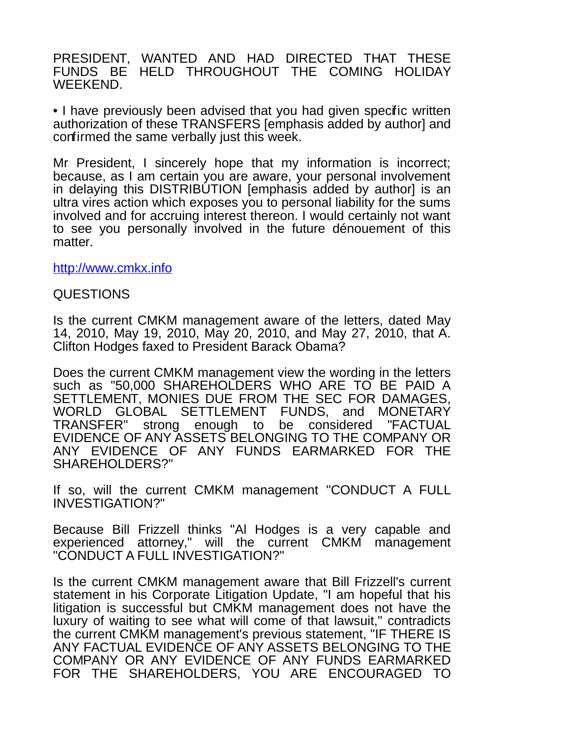PRESIDENT, WANTED AND HAD DIRECTED THAT THESE FUNDS BE HELD THROUGHOUT THE COMING HOLIDAY WEEKEND.

• I have previously been advised that you had given specific written authorization of these TRANSFERS [emphasis added by author] and confirmed the same verbally just this week.

Mr President, I sincerely hope that my information is incorrect; because, as I am certain you are aware, your personal involvement in delaying this DISTRIBUTION [emphasis added by author] is an ultra vires action which exposes you to personal liability for the sums involved and for accruing interest thereon. I would certainly not want to see you personally involved in the future dénouement of this matter.

[http://www.cmkx.info](http://cmkx.info/)

#### QUESTIONS

Is the current CMKM management aware of the letters, dated May 14, 2010, May 19, 2010, May 20, 2010, and May 27, 2010, that A. Clifton Hodges faxed to President Barack Obama?

Does the current CMKM management view the wording in the letters such as "50,000 SHAREHOLDERS WHO ARE TO BE PAID A SETTLEMENT, MONIES DUE FROM THE SEC FOR DAMAGES, WORLD GLOBAL SETTLEMENT FUNDS, and MONETARY TRANSFER" strong enough to be considered "FACTUAL EVIDENCE OF ANY ASSETS BELONGING TO THE COMPANY OR ANY EVIDENCE OF ANY FUNDS EARMARKED FOR THE SHAREHOLDERS?"

If so, will the current CMKM management "CONDUCT A FULL INVESTIGATION?"

Because Bill Frizzell thinks "Al Hodges is a very capable and experienced attorney," will the current CMKM management "CONDUCT A FULL INVESTIGATION?"

Is the current CMKM management aware that Bill Frizzell's current statement in his Corporate Litigation Update, "I am hopeful that his litigation is successful but CMKM management does not have the luxury of waiting to see what will come of that lawsuit," contradicts the current CMKM management's previous statement, "IF THERE IS ANY FACTUAL EVIDENCE OF ANY ASSETS BELONGING TO THE COMPANY OR ANY EVIDENCE OF ANY FUNDS EARMARKED FOR THE SHAREHOLDERS, YOU ARE ENCOURAGED TO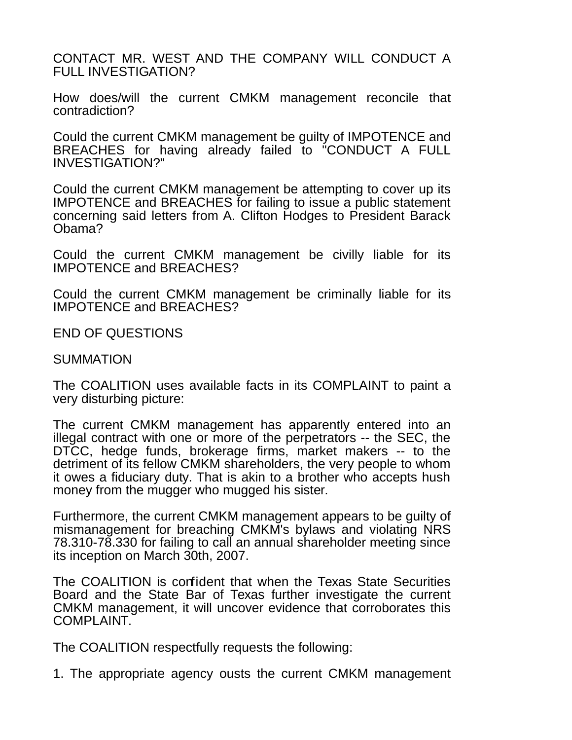CONTACT MR. WEST AND THE COMPANY WILL CONDUCT A FULL INVESTIGATION?

How does/will the current CMKM management reconcile that contradiction?

Could the current CMKM management be guilty of IMPOTENCE and BREACHES for having already failed to "CONDUCT A FULL INVESTIGATION?"

Could the current CMKM management be attempting to cover up its IMPOTENCE and BREACHES for failing to issue a public statement concerning said letters from A. Clifton Hodges to President Barack Obama?

Could the current CMKM management be civilly liable for its IMPOTENCE and BREACHES?

Could the current CMKM management be criminally liable for its IMPOTENCE and BREACHES?

END OF QUESTIONS

#### **SUMMATION**

The COALITION uses available facts in its COMPLAINT to paint a very disturbing picture:

The current CMKM management has apparently entered into an illegal contract with one or more of the perpetrators -- the SEC, the DTCC, hedge funds, brokerage firms, market makers -- to the detriment of its fellow CMKM shareholders, the very people to whom it owes a fiduciary duty. That is akin to a brother who accepts hush money from the mugger who mugged his sister.

Furthermore, the current CMKM management appears to be guilty of mismanagement for breaching CMKM's bylaws and violating NRS 78.310-78.330 for failing to call an annual shareholder meeting since its inception on March 30th, 2007.

The COALITION is confident that when the Texas State Securities Board and the State Bar of Texas further investigate the current CMKM management, it will uncover evidence that corroborates this COMPLAINT.

The COALITION respectfully requests the following:

1. The appropriate agency ousts the current CMKM management